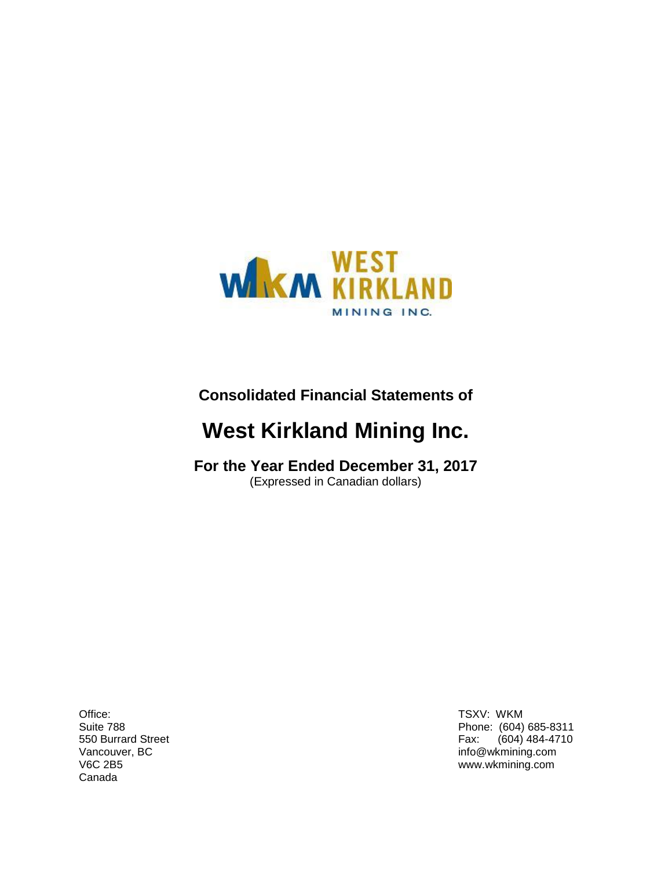

# **Consolidated Financial Statements of**

# **West Kirkland Mining Inc.**

**For the Year Ended December 31, 2017** (Expressed in Canadian dollars)

Office: TSXV: WKM Canada

Suite 788 Phone: (604) 685-8311 550 Burrard Street Fax: (604) 484-4710 Vancouver, BC info@wkmining.com V6C 2B5 www.wkmining.com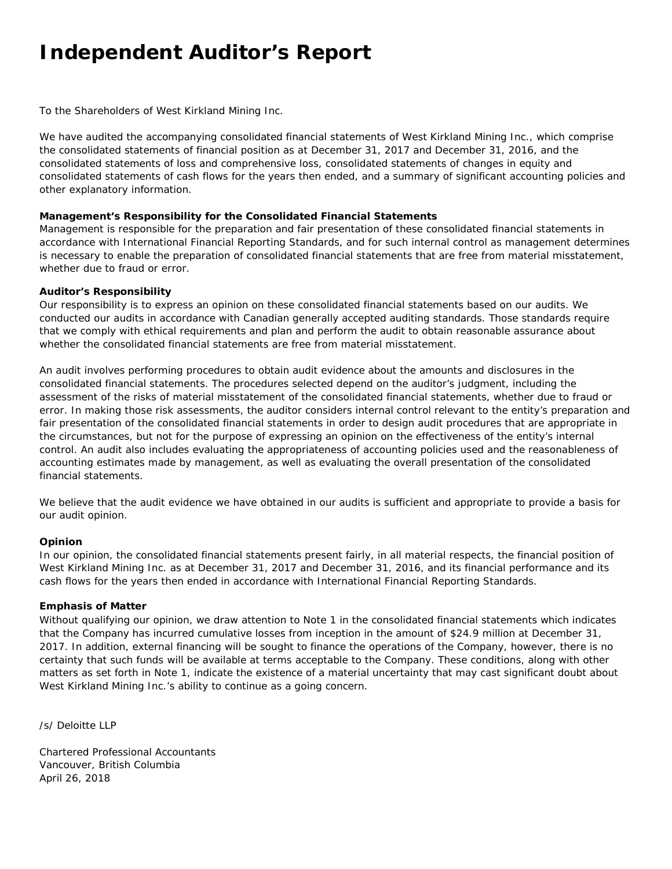# **Independent Auditor's Report**

To the Shareholders of West Kirkland Mining Inc.

We have audited the accompanying consolidated financial statements of West Kirkland Mining Inc., which comprise the consolidated statements of financial position as at December 31, 2017 and December 31, 2016, and the consolidated statements of loss and comprehensive loss, consolidated statements of changes in equity and consolidated statements of cash flows for the years then ended, and a summary of significant accounting policies and other explanatory information.

#### **Management's Responsibility for the Consolidated Financial Statements**

Management is responsible for the preparation and fair presentation of these consolidated financial statements in accordance with International Financial Reporting Standards, and for such internal control as management determines is necessary to enable the preparation of consolidated financial statements that are free from material misstatement, whether due to fraud or error.

#### **Auditor's Responsibility**

Our responsibility is to express an opinion on these consolidated financial statements based on our audits. We conducted our audits in accordance with Canadian generally accepted auditing standards. Those standards require that we comply with ethical requirements and plan and perform the audit to obtain reasonable assurance about whether the consolidated financial statements are free from material misstatement.

An audit involves performing procedures to obtain audit evidence about the amounts and disclosures in the consolidated financial statements. The procedures selected depend on the auditor's judgment, including the assessment of the risks of material misstatement of the consolidated financial statements, whether due to fraud or error. In making those risk assessments, the auditor considers internal control relevant to the entity's preparation and fair presentation of the consolidated financial statements in order to design audit procedures that are appropriate in the circumstances, but not for the purpose of expressing an opinion on the effectiveness of the entity's internal control. An audit also includes evaluating the appropriateness of accounting policies used and the reasonableness of accounting estimates made by management, as well as evaluating the overall presentation of the consolidated financial statements.

We believe that the audit evidence we have obtained in our audits is sufficient and appropriate to provide a basis for our audit opinion.

#### **Opinion**

In our opinion, the consolidated financial statements present fairly, in all material respects, the financial position of West Kirkland Mining Inc. as at December 31, 2017 and December 31, 2016, and its financial performance and its cash flows for the years then ended in accordance with International Financial Reporting Standards.

#### **Emphasis of Matter**

Without qualifying our opinion, we draw attention to Note 1 in the consolidated financial statements which indicates that the Company has incurred cumulative losses from inception in the amount of \$24.9 million at December 31, 2017. In addition, external financing will be sought to finance the operations of the Company, however, there is no certainty that such funds will be available at terms acceptable to the Company. These conditions, along with other matters as set forth in Note 1, indicate the existence of a material uncertainty that may cast significant doubt about West Kirkland Mining Inc.'s ability to continue as a going concern.

*/s/ Deloitte LLP*

Chartered Professional Accountants Vancouver, British Columbia April 26, 2018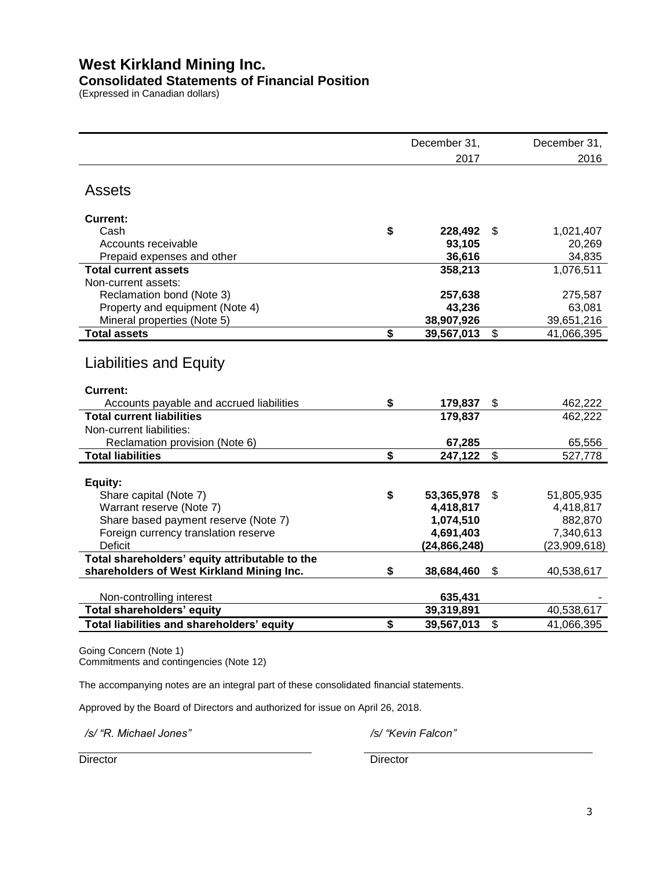### **Consolidated Statements of Financial Position**

(Expressed in Canadian dollars)

|                                                    | December 31,            | December 31,                  |
|----------------------------------------------------|-------------------------|-------------------------------|
|                                                    | 2017                    | 2016                          |
| <b>Assets</b>                                      |                         |                               |
| <b>Current:</b>                                    |                         |                               |
| Cash                                               | \$<br>228,492           | \$<br>1,021,407               |
| Accounts receivable                                | 93,105                  | 20,269                        |
| Prepaid expenses and other                         | 36,616                  | 34,835                        |
| <b>Total current assets</b>                        | 358,213                 | 1,076,511                     |
| Non-current assets:                                |                         |                               |
| Reclamation bond (Note 3)                          | 257,638                 | 275,587                       |
| Property and equipment (Note 4)                    | 43,236                  | 63,081                        |
| Mineral properties (Note 5)                        | 38,907,926              | 39,651,216                    |
| <b>Total assets</b>                                | \$<br>39,567,013        | \$<br>41,066,395              |
| <b>Liabilities and Equity</b>                      |                         |                               |
| Current:                                           |                         |                               |
| Accounts payable and accrued liabilities           | \$<br>179,837           | \$<br>462,222                 |
| <b>Total current liabilities</b>                   | 179,837                 | 462,222                       |
| Non-current liabilities:                           |                         |                               |
| Reclamation provision (Note 6)                     | 67,285                  | 65,556                        |
| <b>Total liabilities</b>                           | \$<br>247,122           | \$<br>527,778                 |
|                                                    |                         |                               |
| Equity:                                            | \$                      |                               |
| Share capital (Note 7)<br>Warrant reserve (Note 7) | 53,365,978<br>4,418,817 | \$<br>51,805,935<br>4,418,817 |
| Share based payment reserve (Note 7)               | 1,074,510               | 882,870                       |
| Foreign currency translation reserve               | 4,691,403               | 7,340,613                     |
| Deficit                                            | (24,866,248)            | (23,909,618)                  |
| Total shareholders' equity attributable to the     |                         |                               |
| shareholders of West Kirkland Mining Inc.          | \$<br>38,684,460        | \$<br>40,538,617              |
|                                                    |                         |                               |
| Non-controlling interest                           | 635,431                 |                               |
| Total shareholders' equity                         | 39,319,891              | 40,538,617                    |
| Total liabilities and shareholders' equity         | \$<br>39,567,013        | \$<br>41,066,395              |
|                                                    |                         |                               |

Going Concern (Note 1) Commitments and contingencies (Note 12)

The accompanying notes are an integral part of these consolidated financial statements.

Approved by the Board of Directors and authorized for issue on April 26, 2018.

*/s/ "R. Michael Jones" /s/ "Kevin Falcon"*

Director **Director** Director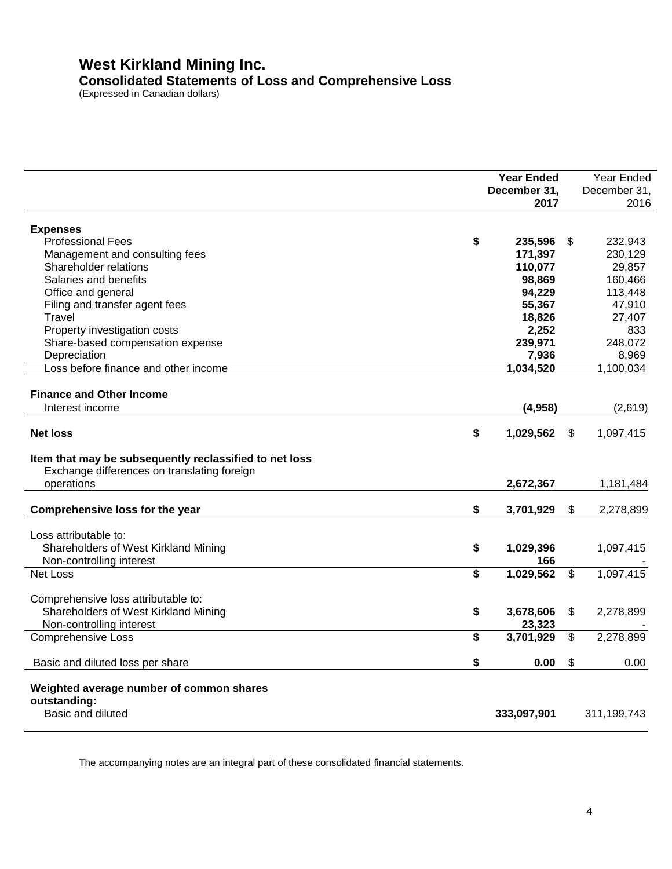# **West Kirkland Mining Inc. Consolidated Statements of Loss and Comprehensive Loss**

(Expressed in Canadian dollars)

|                                                                                                                                                                                                                                                                             | <b>Year Ended</b><br>December 31,<br>2017                                                 |                           | Year Ended<br>December 31,<br>2016                                                       |
|-----------------------------------------------------------------------------------------------------------------------------------------------------------------------------------------------------------------------------------------------------------------------------|-------------------------------------------------------------------------------------------|---------------------------|------------------------------------------------------------------------------------------|
| <b>Expenses</b><br><b>Professional Fees</b><br>\$<br>Management and consulting fees<br>Shareholder relations<br>Salaries and benefits<br>Office and general<br>Filing and transfer agent fees<br>Travel<br>Property investigation costs<br>Share-based compensation expense | 235,596<br>171,397<br>110,077<br>98,869<br>94,229<br>55,367<br>18,826<br>2,252<br>239,971 | S.                        | 232,943<br>230,129<br>29,857<br>160,466<br>113,448<br>47,910<br>27,407<br>833<br>248,072 |
| Depreciation<br>Loss before finance and other income                                                                                                                                                                                                                        | 7,936<br>1,034,520                                                                        |                           | 8,969<br>1,100,034                                                                       |
| <b>Finance and Other Income</b><br>Interest income<br>\$<br><b>Net loss</b><br>Item that may be subsequently reclassified to net loss<br>Exchange differences on translating foreign                                                                                        | (4,958)<br>1,029,562                                                                      | \$                        | (2,619)<br>1,097,415                                                                     |
| operations                                                                                                                                                                                                                                                                  | 2,672,367                                                                                 |                           | 1,181,484                                                                                |
| \$<br>Comprehensive loss for the year                                                                                                                                                                                                                                       | 3,701,929                                                                                 | $\boldsymbol{\mathsf{S}}$ | 2,278,899                                                                                |
| Loss attributable to:<br>\$<br>Shareholders of West Kirkland Mining<br>Non-controlling interest                                                                                                                                                                             | 1,029,396<br>166                                                                          |                           | 1,097,415                                                                                |
| \$<br><b>Net Loss</b>                                                                                                                                                                                                                                                       | 1,029,562                                                                                 | $\sqrt[6]{3}$             | 1,097,415                                                                                |
| Comprehensive loss attributable to:<br>\$<br>Shareholders of West Kirkland Mining<br>Non-controlling interest                                                                                                                                                               | 3,678,606<br>23,323                                                                       | $\frac{1}{2}$             | 2,278,899                                                                                |
| \$<br><b>Comprehensive Loss</b>                                                                                                                                                                                                                                             | 3,701,929                                                                                 | $\sqrt[6]{\frac{1}{2}}$   | 2,278,899                                                                                |
| \$<br>Basic and diluted loss per share                                                                                                                                                                                                                                      | 0.00                                                                                      | \$                        | 0.00                                                                                     |
| Weighted average number of common shares<br>outstanding:<br>Basic and diluted                                                                                                                                                                                               | 333,097,901                                                                               |                           | 311,199,743                                                                              |

The accompanying notes are an integral part of these consolidated financial statements.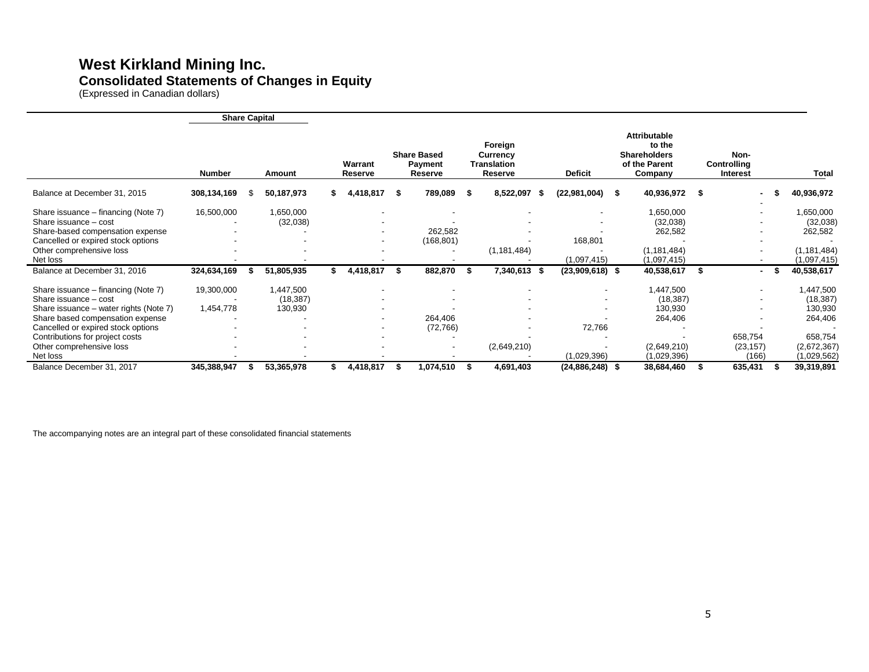### **West Kirkland Mining Inc. Consolidated Statements of Changes in Equity**

(Expressed in Canadian dollars)

|                                        | <b>Share Capital</b> |            |                           |    |                                                 |      |                                               |     |                   |    |                                                                           |    |                                 |      |               |
|----------------------------------------|----------------------|------------|---------------------------|----|-------------------------------------------------|------|-----------------------------------------------|-----|-------------------|----|---------------------------------------------------------------------------|----|---------------------------------|------|---------------|
|                                        | <b>Number</b>        | Amount     | Warrant<br><b>Reserve</b> |    | <b>Share Based</b><br><b>Payment</b><br>Reserve |      | Foreign<br>Currency<br>Translation<br>Reserve |     | <b>Deficit</b>    |    | Attributable<br>to the<br><b>Shareholders</b><br>of the Parent<br>Company |    | Non-<br>Controlling<br>Interest |      | Total         |
| Balance at December 31, 2015           | 308,134,169          | 50,187,973 | 4,418,817                 | S  | 789,089 \$                                      |      | 8,522,097                                     | - 5 | (22,981,004)      | -5 | 40,936,972                                                                | -S |                                 |      | 40,936,972    |
| Share issuance - financing (Note 7)    | 16,500,000           | 1,650,000  |                           |    |                                                 |      |                                               |     |                   |    | 1,650,000                                                                 |    |                                 |      | 1,650,000     |
| Share issuance - cost                  |                      | (32,038)   |                           |    |                                                 |      |                                               |     |                   |    | (32,038)                                                                  |    |                                 |      | (32,038)      |
| Share-based compensation expense       |                      |            |                           |    | 262,582                                         |      |                                               |     |                   |    | 262,582                                                                   |    |                                 |      | 262,582       |
| Cancelled or expired stock options     |                      |            |                           |    | (168, 801)                                      |      |                                               |     | 168,801           |    |                                                                           |    |                                 |      |               |
| Other comprehensive loss               |                      |            |                           |    |                                                 |      | (1, 181, 484)                                 |     |                   |    | (1, 181, 484)                                                             |    | $\overline{\phantom{a}}$        |      | (1, 181, 484) |
| Net loss                               |                      |            |                           |    |                                                 |      |                                               |     | (1,097,415)       |    | (1,097,415)                                                               |    |                                 |      | (1,097,415)   |
| Balance at December 31, 2016           | 324,634,169          | 51,805,935 | 4,418,817                 | \$ | 882,870                                         | - \$ | 7,340,613 \$                                  |     | $(23,909,618)$ \$ |    | 40,538,617                                                                | S  |                                 | - \$ | 40,538,617    |
| Share issuance – financing (Note 7)    | 19,300,000           | 1,447,500  |                           |    | $\overline{\phantom{a}}$                        |      |                                               |     |                   |    | 1,447,500                                                                 |    |                                 |      | 1,447,500     |
| Share issuance - cost                  |                      | (18, 387)  |                           |    |                                                 |      |                                               |     |                   |    | (18, 387)                                                                 |    |                                 |      | (18, 387)     |
| Share issuance - water rights (Note 7) | 1,454,778            | 130,930    |                           |    |                                                 |      |                                               |     |                   |    | 130,930                                                                   |    |                                 |      | 130,930       |
| Share based compensation expense       |                      |            |                           |    | 264,406                                         |      |                                               |     |                   |    | 264,406                                                                   |    |                                 |      | 264,406       |
| Cancelled or expired stock options     |                      |            |                           |    | (72, 766)                                       |      |                                               |     | 72,766            |    |                                                                           |    |                                 |      |               |
| Contributions for project costs        |                      |            |                           |    |                                                 |      |                                               |     |                   |    |                                                                           |    | 658,754                         |      | 658,754       |
| Other comprehensive loss               |                      |            |                           |    | $\overline{\phantom{0}}$                        |      | (2,649,210)                                   |     |                   |    | (2,649,210)                                                               |    | (23, 157)                       |      | (2,672,367)   |
| Net loss                               |                      |            |                           |    |                                                 |      |                                               |     | (1,029,396)       |    | (1,029,396)                                                               |    | (166)                           |      | (1,029,562)   |
| Balance December 31, 2017              | 345,388,947          | 53,365,978 | 4,418,817                 |    | 074,510,                                        |      | 4,691,403                                     |     | $(24,886,248)$ \$ |    | 38,684,460                                                                |    | 635,431                         |      | 39,319,891    |

The accompanying notes are an integral part of these consolidated financial statements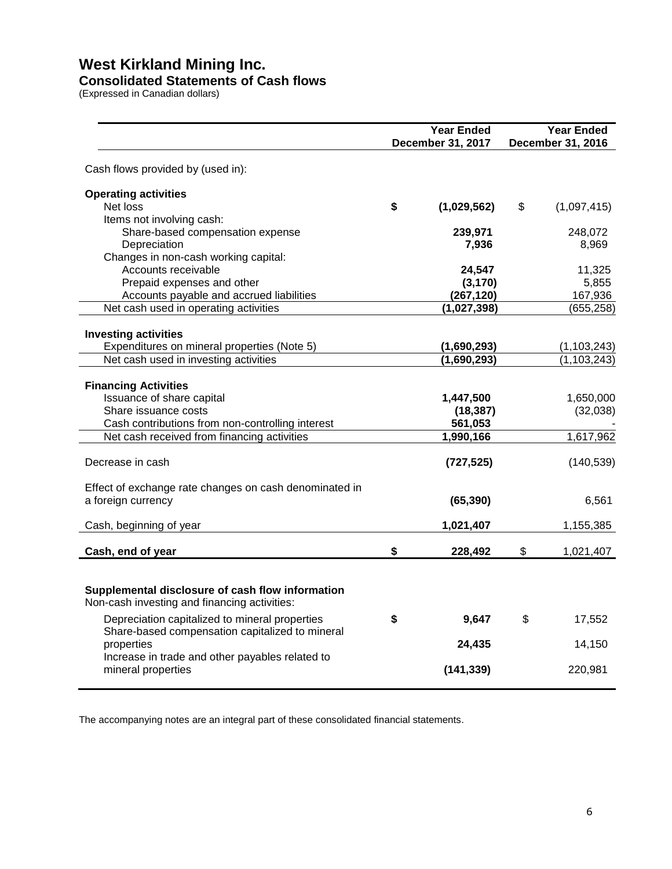### **Consolidated Statements of Cash flows**

(Expressed in Canadian dollars)

|                                                                                                  | <b>Year Ended</b>      | <b>Year Ended</b> |                   |  |  |
|--------------------------------------------------------------------------------------------------|------------------------|-------------------|-------------------|--|--|
|                                                                                                  | December 31, 2017      |                   | December 31, 2016 |  |  |
| Cash flows provided by (used in):                                                                |                        |                   |                   |  |  |
| <b>Operating activities</b>                                                                      |                        |                   |                   |  |  |
| Net loss                                                                                         | \$<br>(1,029,562)      | \$                | (1,097,415)       |  |  |
| Items not involving cash:                                                                        |                        |                   |                   |  |  |
| Share-based compensation expense                                                                 | 239,971                |                   | 248,072           |  |  |
| Depreciation                                                                                     | 7,936                  |                   | 8,969             |  |  |
| Changes in non-cash working capital:                                                             |                        |                   |                   |  |  |
| Accounts receivable                                                                              | 24,547                 |                   | 11,325            |  |  |
| Prepaid expenses and other<br>Accounts payable and accrued liabilities                           | (3, 170)<br>(267, 120) |                   | 5,855<br>167,936  |  |  |
| Net cash used in operating activities                                                            | (1,027,398)            |                   | (655, 258)        |  |  |
|                                                                                                  |                        |                   |                   |  |  |
| <b>Investing activities</b>                                                                      |                        |                   |                   |  |  |
| Expenditures on mineral properties (Note 5)                                                      | (1,690,293)            |                   | (1, 103, 243)     |  |  |
| Net cash used in investing activities                                                            | (1,690,293)            |                   | (1, 103, 243)     |  |  |
|                                                                                                  |                        |                   |                   |  |  |
| <b>Financing Activities</b>                                                                      |                        |                   |                   |  |  |
| Issuance of share capital                                                                        | 1,447,500              |                   | 1,650,000         |  |  |
| Share issuance costs                                                                             | (18, 387)              |                   | (32,038)          |  |  |
| Cash contributions from non-controlling interest                                                 | 561,053                |                   |                   |  |  |
| Net cash received from financing activities                                                      | 1,990,166              |                   | 1,617,962         |  |  |
| Decrease in cash                                                                                 | (727, 525)             |                   | (140, 539)        |  |  |
|                                                                                                  |                        |                   |                   |  |  |
| Effect of exchange rate changes on cash denominated in<br>a foreign currency                     | (65, 390)              |                   | 6,561             |  |  |
|                                                                                                  |                        |                   |                   |  |  |
| Cash, beginning of year                                                                          | 1,021,407              |                   | 1,155,385         |  |  |
| Cash, end of year                                                                                | \$<br>228,492          | \$                | 1,021,407         |  |  |
|                                                                                                  |                        |                   |                   |  |  |
| Supplemental disclosure of cash flow information<br>Non-cash investing and financing activities: |                        |                   |                   |  |  |
| Depreciation capitalized to mineral properties                                                   | \$<br>9,647            | \$                | 17,552            |  |  |
| Share-based compensation capitalized to mineral                                                  |                        |                   |                   |  |  |
| properties                                                                                       | 24,435                 |                   | 14,150            |  |  |
| Increase in trade and other payables related to                                                  |                        |                   |                   |  |  |
| mineral properties                                                                               | (141, 339)             |                   | 220,981           |  |  |
|                                                                                                  |                        |                   |                   |  |  |

The accompanying notes are an integral part of these consolidated financial statements.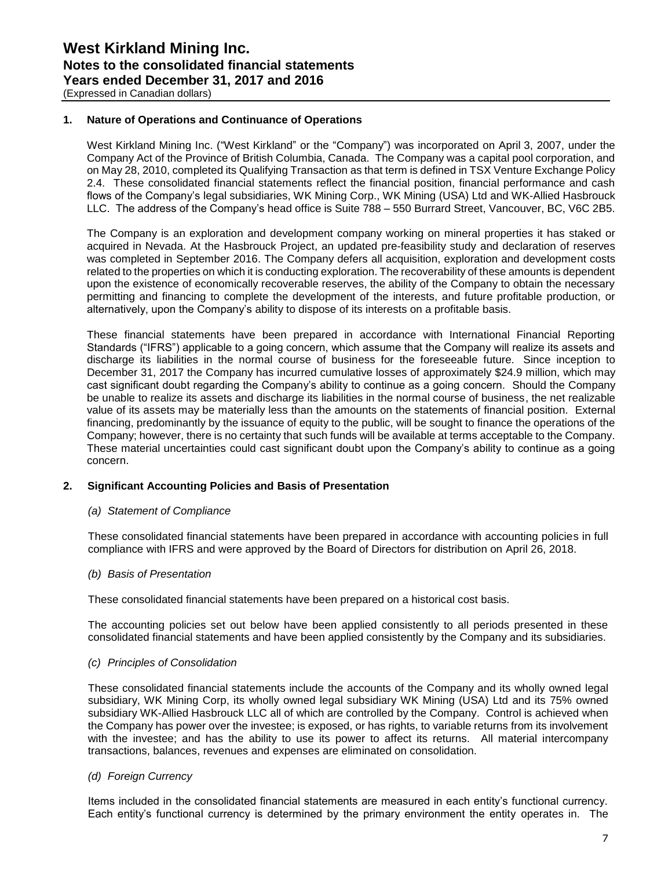### **1. Nature of Operations and Continuance of Operations**

West Kirkland Mining Inc. ("West Kirkland" or the "Company") was incorporated on April 3, 2007, under the Company Act of the Province of British Columbia, Canada. The Company was a capital pool corporation, and on May 28, 2010, completed its Qualifying Transaction as that term is defined in TSX Venture Exchange Policy 2.4. These consolidated financial statements reflect the financial position, financial performance and cash flows of the Company's legal subsidiaries, WK Mining Corp., WK Mining (USA) Ltd and WK-Allied Hasbrouck LLC. The address of the Company's head office is Suite 788 – 550 Burrard Street, Vancouver, BC, V6C 2B5.

The Company is an exploration and development company working on mineral properties it has staked or acquired in Nevada. At the Hasbrouck Project, an updated pre-feasibility study and declaration of reserves was completed in September 2016. The Company defers all acquisition, exploration and development costs related to the properties on which it is conducting exploration. The recoverability of these amounts is dependent upon the existence of economically recoverable reserves, the ability of the Company to obtain the necessary permitting and financing to complete the development of the interests, and future profitable production, or alternatively, upon the Company's ability to dispose of its interests on a profitable basis.

These financial statements have been prepared in accordance with International Financial Reporting Standards ("IFRS") applicable to a going concern, which assume that the Company will realize its assets and discharge its liabilities in the normal course of business for the foreseeable future. Since inception to December 31, 2017 the Company has incurred cumulative losses of approximately \$24.9 million, which may cast significant doubt regarding the Company's ability to continue as a going concern. Should the Company be unable to realize its assets and discharge its liabilities in the normal course of business, the net realizable value of its assets may be materially less than the amounts on the statements of financial position. External financing, predominantly by the issuance of equity to the public, will be sought to finance the operations of the Company; however, there is no certainty that such funds will be available at terms acceptable to the Company. These material uncertainties could cast significant doubt upon the Company's ability to continue as a going concern.

### **2. Significant Accounting Policies and Basis of Presentation**

### *(a) Statement of Compliance*

These consolidated financial statements have been prepared in accordance with accounting policies in full compliance with IFRS and were approved by the Board of Directors for distribution on April 26, 2018.

### *(b) Basis of Presentation*

These consolidated financial statements have been prepared on a historical cost basis.

The accounting policies set out below have been applied consistently to all periods presented in these consolidated financial statements and have been applied consistently by the Company and its subsidiaries.

### *(c) Principles of Consolidation*

These consolidated financial statements include the accounts of the Company and its wholly owned legal subsidiary, WK Mining Corp, its wholly owned legal subsidiary WK Mining (USA) Ltd and its 75% owned subsidiary WK-Allied Hasbrouck LLC all of which are controlled by the Company. Control is achieved when the Company has power over the investee; is exposed, or has rights, to variable returns from its involvement with the investee; and has the ability to use its power to affect its returns. All material intercompany transactions, balances, revenues and expenses are eliminated on consolidation.

### *(d) Foreign Currency*

Items included in the consolidated financial statements are measured in each entity's functional currency. Each entity's functional currency is determined by the primary environment the entity operates in. The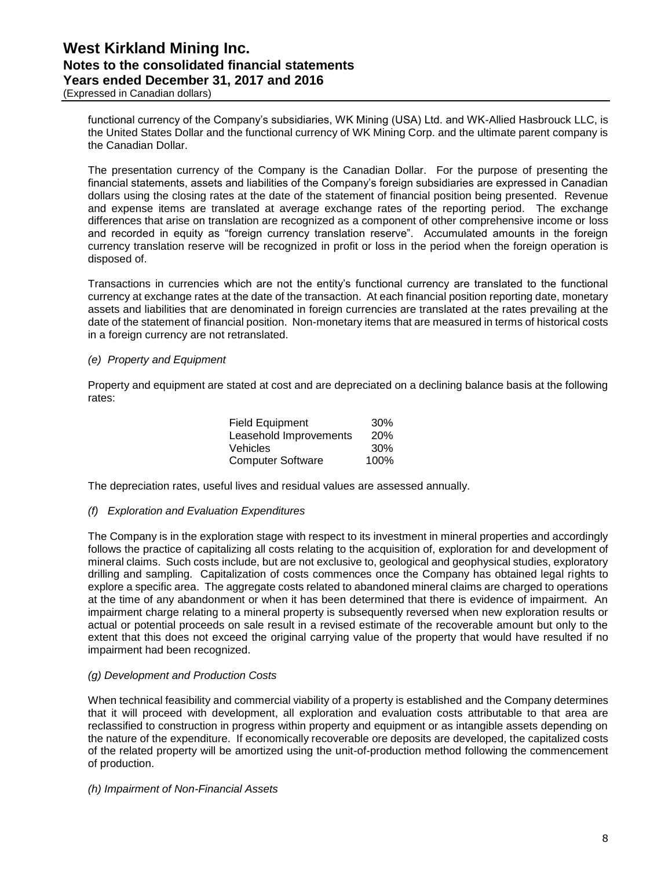(Expressed in Canadian dollars)

functional currency of the Company's subsidiaries, WK Mining (USA) Ltd. and WK-Allied Hasbrouck LLC, is the United States Dollar and the functional currency of WK Mining Corp. and the ultimate parent company is the Canadian Dollar.

The presentation currency of the Company is the Canadian Dollar. For the purpose of presenting the financial statements, assets and liabilities of the Company's foreign subsidiaries are expressed in Canadian dollars using the closing rates at the date of the statement of financial position being presented. Revenue and expense items are translated at average exchange rates of the reporting period. The exchange differences that arise on translation are recognized as a component of other comprehensive income or loss and recorded in equity as "foreign currency translation reserve". Accumulated amounts in the foreign currency translation reserve will be recognized in profit or loss in the period when the foreign operation is disposed of.

Transactions in currencies which are not the entity's functional currency are translated to the functional currency at exchange rates at the date of the transaction. At each financial position reporting date, monetary assets and liabilities that are denominated in foreign currencies are translated at the rates prevailing at the date of the statement of financial position. Non-monetary items that are measured in terms of historical costs in a foreign currency are not retranslated.

### *(e) Property and Equipment*

Property and equipment are stated at cost and are depreciated on a declining balance basis at the following rates:

| Field Equipment          | 30%        |
|--------------------------|------------|
| Leasehold Improvements   | <b>20%</b> |
| Vehicles                 | 30%        |
| <b>Computer Software</b> | 100%       |

The depreciation rates, useful lives and residual values are assessed annually.

### *(f) Exploration and Evaluation Expenditures*

The Company is in the exploration stage with respect to its investment in mineral properties and accordingly follows the practice of capitalizing all costs relating to the acquisition of, exploration for and development of mineral claims. Such costs include, but are not exclusive to, geological and geophysical studies, exploratory drilling and sampling. Capitalization of costs commences once the Company has obtained legal rights to explore a specific area. The aggregate costs related to abandoned mineral claims are charged to operations at the time of any abandonment or when it has been determined that there is evidence of impairment. An impairment charge relating to a mineral property is subsequently reversed when new exploration results or actual or potential proceeds on sale result in a revised estimate of the recoverable amount but only to the extent that this does not exceed the original carrying value of the property that would have resulted if no impairment had been recognized.

### *(g) Development and Production Costs*

When technical feasibility and commercial viability of a property is established and the Company determines that it will proceed with development, all exploration and evaluation costs attributable to that area are reclassified to construction in progress within property and equipment or as intangible assets depending on the nature of the expenditure. If economically recoverable ore deposits are developed, the capitalized costs of the related property will be amortized using the unit-of-production method following the commencement of production.

#### *(h) Impairment of Non-Financial Assets*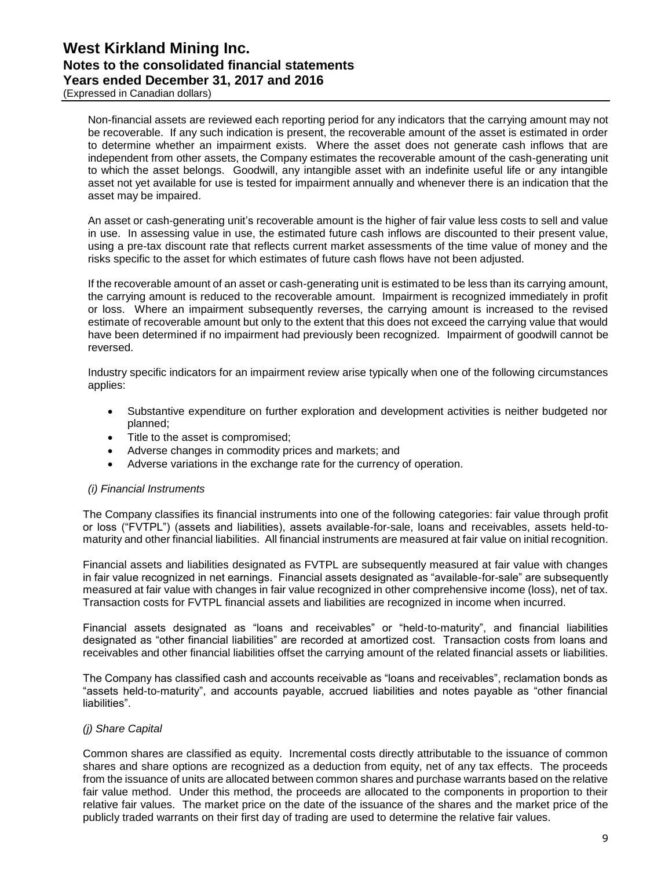(Expressed in Canadian dollars)

Non-financial assets are reviewed each reporting period for any indicators that the carrying amount may not be recoverable. If any such indication is present, the recoverable amount of the asset is estimated in order to determine whether an impairment exists. Where the asset does not generate cash inflows that are independent from other assets, the Company estimates the recoverable amount of the cash-generating unit to which the asset belongs. Goodwill, any intangible asset with an indefinite useful life or any intangible asset not yet available for use is tested for impairment annually and whenever there is an indication that the asset may be impaired.

An asset or cash-generating unit's recoverable amount is the higher of fair value less costs to sell and value in use. In assessing value in use, the estimated future cash inflows are discounted to their present value, using a pre-tax discount rate that reflects current market assessments of the time value of money and the risks specific to the asset for which estimates of future cash flows have not been adjusted.

If the recoverable amount of an asset or cash-generating unit is estimated to be less than its carrying amount, the carrying amount is reduced to the recoverable amount. Impairment is recognized immediately in profit or loss. Where an impairment subsequently reverses, the carrying amount is increased to the revised estimate of recoverable amount but only to the extent that this does not exceed the carrying value that would have been determined if no impairment had previously been recognized. Impairment of goodwill cannot be reversed.

Industry specific indicators for an impairment review arise typically when one of the following circumstances applies:

- Substantive expenditure on further exploration and development activities is neither budgeted nor planned;
- Title to the asset is compromised;
- Adverse changes in commodity prices and markets; and
- Adverse variations in the exchange rate for the currency of operation.

### *(i) Financial Instruments*

The Company classifies its financial instruments into one of the following categories: fair value through profit or loss ("FVTPL") (assets and liabilities), assets available-for-sale, loans and receivables, assets held-tomaturity and other financial liabilities. All financial instruments are measured at fair value on initial recognition.

Financial assets and liabilities designated as FVTPL are subsequently measured at fair value with changes in fair value recognized in net earnings. Financial assets designated as "available-for-sale" are subsequently measured at fair value with changes in fair value recognized in other comprehensive income (loss), net of tax. Transaction costs for FVTPL financial assets and liabilities are recognized in income when incurred.

Financial assets designated as "loans and receivables" or "held-to-maturity", and financial liabilities designated as "other financial liabilities" are recorded at amortized cost. Transaction costs from loans and receivables and other financial liabilities offset the carrying amount of the related financial assets or liabilities.

The Company has classified cash and accounts receivable as "loans and receivables", reclamation bonds as "assets held-to-maturity", and accounts payable, accrued liabilities and notes payable as "other financial liabilities".

### *(j) Share Capital*

Common shares are classified as equity. Incremental costs directly attributable to the issuance of common shares and share options are recognized as a deduction from equity, net of any tax effects. The proceeds from the issuance of units are allocated between common shares and purchase warrants based on the relative fair value method. Under this method, the proceeds are allocated to the components in proportion to their relative fair values. The market price on the date of the issuance of the shares and the market price of the publicly traded warrants on their first day of trading are used to determine the relative fair values.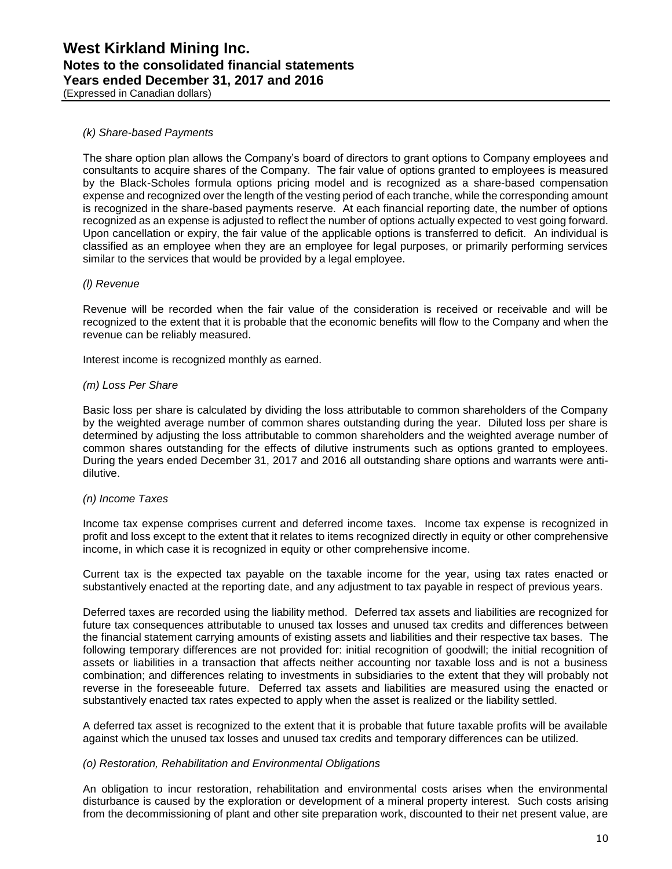(Expressed in Canadian dollars)

### *(k) Share-based Payments*

The share option plan allows the Company's board of directors to grant options to Company employees and consultants to acquire shares of the Company. The fair value of options granted to employees is measured by the Black-Scholes formula options pricing model and is recognized as a share-based compensation expense and recognized over the length of the vesting period of each tranche, while the corresponding amount is recognized in the share-based payments reserve. At each financial reporting date, the number of options recognized as an expense is adjusted to reflect the number of options actually expected to vest going forward. Upon cancellation or expiry, the fair value of the applicable options is transferred to deficit. An individual is classified as an employee when they are an employee for legal purposes, or primarily performing services similar to the services that would be provided by a legal employee.

### *(l) Revenue*

Revenue will be recorded when the fair value of the consideration is received or receivable and will be recognized to the extent that it is probable that the economic benefits will flow to the Company and when the revenue can be reliably measured.

Interest income is recognized monthly as earned.

### *(m) Loss Per Share*

Basic loss per share is calculated by dividing the loss attributable to common shareholders of the Company by the weighted average number of common shares outstanding during the year. Diluted loss per share is determined by adjusting the loss attributable to common shareholders and the weighted average number of common shares outstanding for the effects of dilutive instruments such as options granted to employees. During the years ended December 31, 2017 and 2016 all outstanding share options and warrants were antidilutive.

### *(n) Income Taxes*

Income tax expense comprises current and deferred income taxes. Income tax expense is recognized in profit and loss except to the extent that it relates to items recognized directly in equity or other comprehensive income, in which case it is recognized in equity or other comprehensive income.

Current tax is the expected tax payable on the taxable income for the year, using tax rates enacted or substantively enacted at the reporting date, and any adjustment to tax payable in respect of previous years.

Deferred taxes are recorded using the liability method. Deferred tax assets and liabilities are recognized for future tax consequences attributable to unused tax losses and unused tax credits and differences between the financial statement carrying amounts of existing assets and liabilities and their respective tax bases. The following temporary differences are not provided for: initial recognition of goodwill; the initial recognition of assets or liabilities in a transaction that affects neither accounting nor taxable loss and is not a business combination; and differences relating to investments in subsidiaries to the extent that they will probably not reverse in the foreseeable future. Deferred tax assets and liabilities are measured using the enacted or substantively enacted tax rates expected to apply when the asset is realized or the liability settled.

A deferred tax asset is recognized to the extent that it is probable that future taxable profits will be available against which the unused tax losses and unused tax credits and temporary differences can be utilized.

### *(o) Restoration, Rehabilitation and Environmental Obligations*

An obligation to incur restoration, rehabilitation and environmental costs arises when the environmental disturbance is caused by the exploration or development of a mineral property interest. Such costs arising from the decommissioning of plant and other site preparation work, discounted to their net present value, are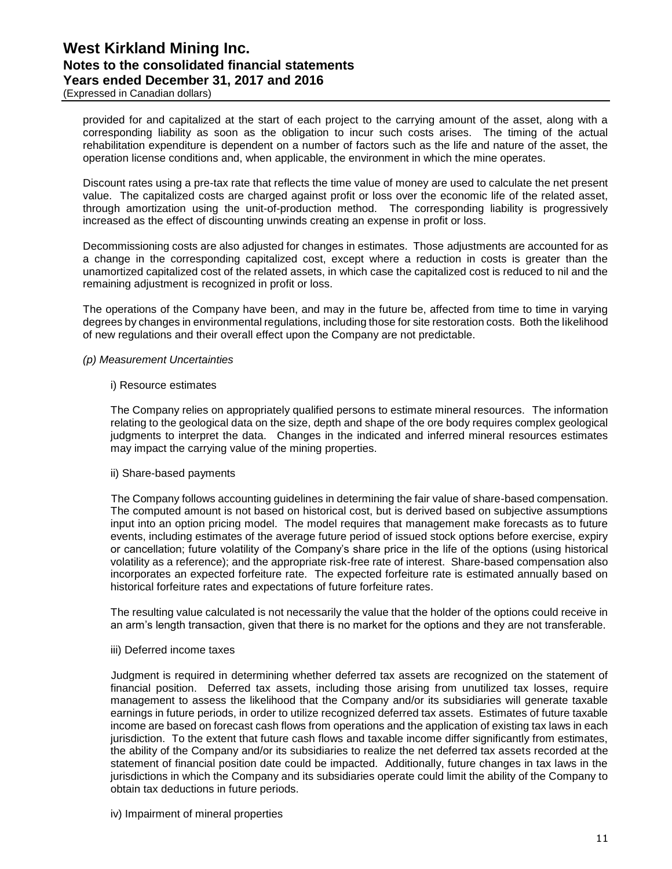(Expressed in Canadian dollars)

provided for and capitalized at the start of each project to the carrying amount of the asset, along with a corresponding liability as soon as the obligation to incur such costs arises. The timing of the actual rehabilitation expenditure is dependent on a number of factors such as the life and nature of the asset, the operation license conditions and, when applicable, the environment in which the mine operates.

Discount rates using a pre-tax rate that reflects the time value of money are used to calculate the net present value. The capitalized costs are charged against profit or loss over the economic life of the related asset, through amortization using the unit-of-production method. The corresponding liability is progressively increased as the effect of discounting unwinds creating an expense in profit or loss.

Decommissioning costs are also adjusted for changes in estimates. Those adjustments are accounted for as a change in the corresponding capitalized cost, except where a reduction in costs is greater than the unamortized capitalized cost of the related assets, in which case the capitalized cost is reduced to nil and the remaining adjustment is recognized in profit or loss.

The operations of the Company have been, and may in the future be, affected from time to time in varying degrees by changes in environmental regulations, including those for site restoration costs. Both the likelihood of new regulations and their overall effect upon the Company are not predictable.

### *(p) Measurement Uncertainties*

#### i) Resource estimates

The Company relies on appropriately qualified persons to estimate mineral resources. The information relating to the geological data on the size, depth and shape of the ore body requires complex geological judgments to interpret the data. Changes in the indicated and inferred mineral resources estimates may impact the carrying value of the mining properties.

### ii) Share-based payments

The Company follows accounting guidelines in determining the fair value of share-based compensation. The computed amount is not based on historical cost, but is derived based on subjective assumptions input into an option pricing model. The model requires that management make forecasts as to future events, including estimates of the average future period of issued stock options before exercise, expiry or cancellation; future volatility of the Company's share price in the life of the options (using historical volatility as a reference); and the appropriate risk-free rate of interest. Share-based compensation also incorporates an expected forfeiture rate. The expected forfeiture rate is estimated annually based on historical forfeiture rates and expectations of future forfeiture rates.

The resulting value calculated is not necessarily the value that the holder of the options could receive in an arm's length transaction, given that there is no market for the options and they are not transferable.

### iii) Deferred income taxes

Judgment is required in determining whether deferred tax assets are recognized on the statement of financial position. Deferred tax assets, including those arising from unutilized tax losses, require management to assess the likelihood that the Company and/or its subsidiaries will generate taxable earnings in future periods, in order to utilize recognized deferred tax assets. Estimates of future taxable income are based on forecast cash flows from operations and the application of existing tax laws in each jurisdiction. To the extent that future cash flows and taxable income differ significantly from estimates, the ability of the Company and/or its subsidiaries to realize the net deferred tax assets recorded at the statement of financial position date could be impacted. Additionally, future changes in tax laws in the jurisdictions in which the Company and its subsidiaries operate could limit the ability of the Company to obtain tax deductions in future periods.

iv) Impairment of mineral properties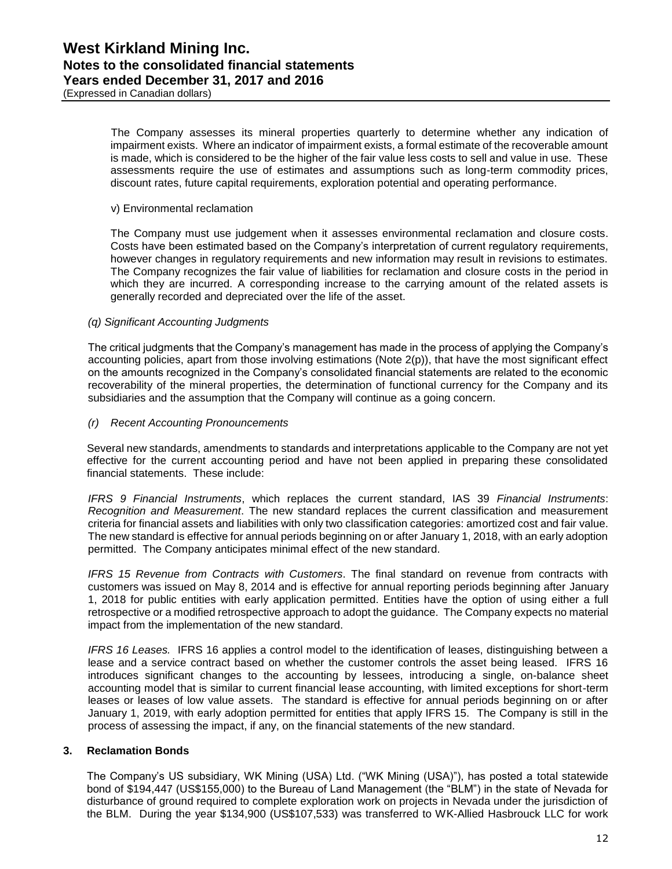(Expressed in Canadian dollars)

The Company assesses its mineral properties quarterly to determine whether any indication of impairment exists. Where an indicator of impairment exists, a formal estimate of the recoverable amount is made, which is considered to be the higher of the fair value less costs to sell and value in use. These assessments require the use of estimates and assumptions such as long-term commodity prices, discount rates, future capital requirements, exploration potential and operating performance.

#### v) Environmental reclamation

The Company must use judgement when it assesses environmental reclamation and closure costs. Costs have been estimated based on the Company's interpretation of current regulatory requirements, however changes in regulatory requirements and new information may result in revisions to estimates. The Company recognizes the fair value of liabilities for reclamation and closure costs in the period in which they are incurred. A corresponding increase to the carrying amount of the related assets is generally recorded and depreciated over the life of the asset.

### *(q) Significant Accounting Judgments*

The critical judgments that the Company's management has made in the process of applying the Company's accounting policies, apart from those involving estimations (Note 2(p)), that have the most significant effect on the amounts recognized in the Company's consolidated financial statements are related to the economic recoverability of the mineral properties, the determination of functional currency for the Company and its subsidiaries and the assumption that the Company will continue as a going concern.

#### *(r) Recent Accounting Pronouncements*

Several new standards, amendments to standards and interpretations applicable to the Company are not yet effective for the current accounting period and have not been applied in preparing these consolidated financial statements. These include:

*IFRS 9 Financial Instruments*, which replaces the current standard, IAS 39 *Financial Instruments*: *Recognition and Measurement*. The new standard replaces the current classification and measurement criteria for financial assets and liabilities with only two classification categories: amortized cost and fair value. The new standard is effective for annual periods beginning on or after January 1, 2018, with an early adoption permitted. The Company anticipates minimal effect of the new standard.

*IFRS 15 Revenue from Contracts with Customers*. The final standard on revenue from contracts with customers was issued on May 8, 2014 and is effective for annual reporting periods beginning after January 1, 2018 for public entities with early application permitted. Entities have the option of using either a full retrospective or a modified retrospective approach to adopt the guidance. The Company expects no material impact from the implementation of the new standard.

*IFRS 16 Leases.* IFRS 16 applies a control model to the identification of leases, distinguishing between a lease and a service contract based on whether the customer controls the asset being leased. IFRS 16 introduces significant changes to the accounting by lessees, introducing a single, on-balance sheet accounting model that is similar to current financial lease accounting, with limited exceptions for short-term leases or leases of low value assets. The standard is effective for annual periods beginning on or after January 1, 2019, with early adoption permitted for entities that apply IFRS 15. The Company is still in the process of assessing the impact, if any, on the financial statements of the new standard.

### **3. Reclamation Bonds**

The Company's US subsidiary, WK Mining (USA) Ltd. ("WK Mining (USA)"), has posted a total statewide bond of \$194,447 (US\$155,000) to the Bureau of Land Management (the "BLM") in the state of Nevada for disturbance of ground required to complete exploration work on projects in Nevada under the jurisdiction of the BLM. During the year \$134,900 (US\$107,533) was transferred to WK-Allied Hasbrouck LLC for work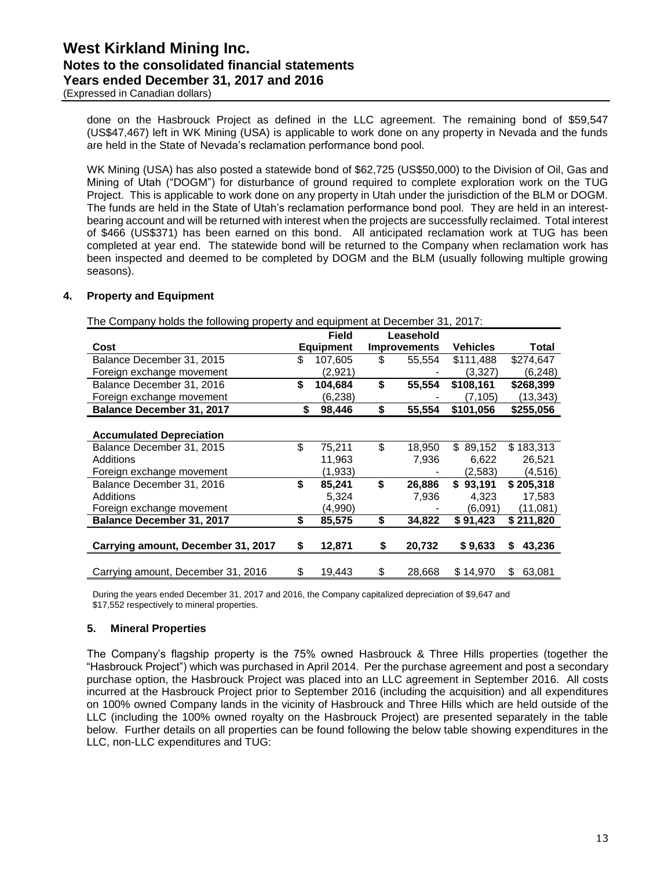(Expressed in Canadian dollars)

done on the Hasbrouck Project as defined in the LLC agreement. The remaining bond of \$59,547 (US\$47,467) left in WK Mining (USA) is applicable to work done on any property in Nevada and the funds are held in the State of Nevada's reclamation performance bond pool.

WK Mining (USA) has also posted a statewide bond of \$62,725 (US\$50,000) to the Division of Oil, Gas and Mining of Utah ("DOGM") for disturbance of ground required to complete exploration work on the TUG Project. This is applicable to work done on any property in Utah under the jurisdiction of the BLM or DOGM. The funds are held in the State of Utah's reclamation performance bond pool. They are held in an interestbearing account and will be returned with interest when the projects are successfully reclaimed. Total interest of \$466 (US\$371) has been earned on this bond. All anticipated reclamation work at TUG has been completed at year end. The statewide bond will be returned to the Company when reclamation work has been inspected and deemed to be completed by DOGM and the BLM (usually following multiple growing seasons).

### **4. Property and Equipment**

The Company holds the following property and equipment at December 31, 2017:

|                                    | <b>Field</b>     |    | Leasehold           |                 |              |
|------------------------------------|------------------|----|---------------------|-----------------|--------------|
| Cost                               | <b>Equipment</b> |    | <b>Improvements</b> | <b>Vehicles</b> | Total        |
| Balance December 31, 2015          | \$<br>107,605    | S  | 55.554              | \$111,488       | \$274,647    |
| Foreign exchange movement          | (2,921)          |    |                     | (3,327)         | (6, 248)     |
| Balance December 31, 2016          | \$<br>104,684    | \$ | 55.554              | \$108,161       | \$268,399    |
| Foreign exchange movement          | (6,238)          |    |                     | (7,105)         | (13,343)     |
| Balance December 31, 2017          | \$<br>98,446     | \$ | 55,554              | \$101,056       | \$255,056    |
|                                    |                  |    |                     |                 |              |
| <b>Accumulated Depreciation</b>    |                  |    |                     |                 |              |
| Balance December 31, 2015          | \$<br>75,211     | \$ | 18,950              | 89.152<br>\$.   | \$183,313    |
| Additions                          | 11,963           |    | 7,936               | 6,622           | 26,521       |
| Foreign exchange movement          | (1,933)          |    |                     | (2.583)         | (4,516)      |
| Balance December 31, 2016          | \$<br>85,241     | \$ | 26,886              | \$93.191        | \$205,318    |
| Additions                          | 5,324            |    | 7,936               | 4,323           | 17,583       |
| Foreign exchange movement          | (4,990)          |    |                     | (6.091)         | (11,081)     |
| <b>Balance December 31, 2017</b>   | \$<br>85,575     | \$ | 34,822              | \$91,423        | \$211,820    |
|                                    |                  |    |                     |                 |              |
| Carrying amount, December 31, 2017 | \$<br>12,871     | \$ | 20,732              | \$9,633         | 43,236<br>\$ |
|                                    |                  |    |                     |                 |              |
| Carrying amount, December 31, 2016 | \$<br>19,443     | \$ | 28,668              | \$14,970        | \$<br>63,081 |

During the years ended December 31, 2017 and 2016, the Company capitalized depreciation of \$9,647 and \$17,552 respectively to mineral properties.

### **5. Mineral Properties**

The Company's flagship property is the 75% owned Hasbrouck & Three Hills properties (together the "Hasbrouck Project") which was purchased in April 2014. Per the purchase agreement and post a secondary purchase option, the Hasbrouck Project was placed into an LLC agreement in September 2016. All costs incurred at the Hasbrouck Project prior to September 2016 (including the acquisition) and all expenditures on 100% owned Company lands in the vicinity of Hasbrouck and Three Hills which are held outside of the LLC (including the 100% owned royalty on the Hasbrouck Project) are presented separately in the table below. Further details on all properties can be found following the below table showing expenditures in the LLC, non-LLC expenditures and TUG: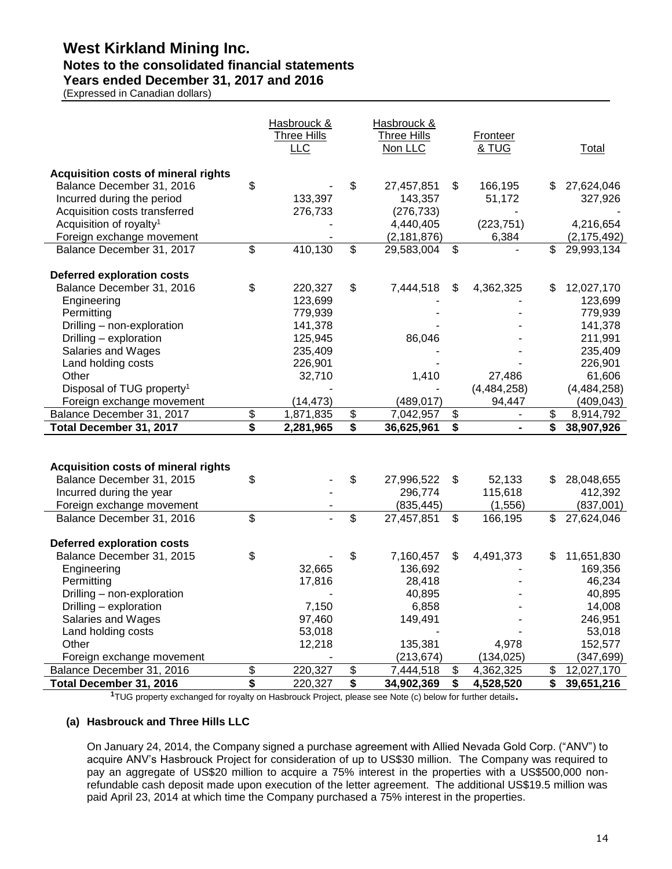### **Notes to the consolidated financial statements**

**Years ended December 31, 2017 and 2016**

(Expressed in Canadian dollars)

|                                                                         |                         | Hasbrouck &<br><b>Three Hills</b><br>LLC |          | Hasbrouck &<br>Three Hills<br>Non LLC | Fronteer<br><u>&amp; TUG</u> |    | <b>Total</b>              |
|-------------------------------------------------------------------------|-------------------------|------------------------------------------|----------|---------------------------------------|------------------------------|----|---------------------------|
| <b>Acquisition costs of mineral rights</b><br>Balance December 31, 2016 | \$                      |                                          | \$       | 27,457,851                            | \$<br>166,195                | \$ | 27,624,046                |
| Incurred during the period                                              |                         | 133,397                                  |          | 143,357                               | 51,172                       |    | 327,926                   |
| Acquisition costs transferred                                           |                         | 276,733                                  |          | (276, 733)                            |                              |    |                           |
| Acquisition of royalty <sup>1</sup>                                     |                         |                                          |          | 4,440,405                             | (223, 751)                   |    | 4,216,654                 |
| Foreign exchange movement                                               |                         |                                          |          | (2, 181, 876)                         | 6,384                        |    | (2, 175, 492)             |
| Balance December 31, 2017                                               | \$                      | 410, 130                                 | \$       | 29,583,004                            | \$                           | \$ | 29,993,134                |
| <b>Deferred exploration costs</b>                                       |                         |                                          |          |                                       |                              |    |                           |
| Balance December 31, 2016                                               | \$                      | 220,327                                  | \$       | 7,444,518                             | \$<br>4,362,325              |    | 12,027,170                |
| Engineering                                                             |                         | 123,699                                  |          |                                       |                              |    | 123,699                   |
| Permitting                                                              |                         | 779,939                                  |          |                                       |                              |    | 779,939                   |
| Drilling - non-exploration                                              |                         | 141,378                                  |          |                                       |                              |    | 141,378                   |
| Drilling - exploration                                                  |                         | 125,945                                  |          | 86,046                                |                              |    | 211,991                   |
| Salaries and Wages                                                      |                         | 235,409                                  |          |                                       |                              |    | 235,409                   |
| Land holding costs                                                      |                         | 226,901                                  |          | 1,410                                 | 27,486                       |    | 226,901                   |
| Other<br>Disposal of TUG property <sup>1</sup>                          |                         | 32,710                                   |          |                                       |                              |    | 61,606                    |
| Foreign exchange movement                                               |                         | (14, 473)                                |          | (489, 017)                            | (4,484,258)<br>94,447        |    | (4,484,258)<br>(409, 043) |
| Balance December 31, 2017                                               | $$\mathfrak{F}$$        | 1,871,835                                | \$       | 7,042,957                             | \$                           | \$ | 8,914,792                 |
| Total December 31, 2017                                                 | $\overline{\mathbf{s}}$ | 2,281,965                                | \$       | 36,625,961                            | \$                           | \$ | 38,907,926                |
|                                                                         |                         |                                          |          |                                       |                              |    |                           |
|                                                                         |                         |                                          |          |                                       |                              |    |                           |
| <b>Acquisition costs of mineral rights</b>                              |                         |                                          |          |                                       |                              |    |                           |
| Balance December 31, 2015                                               | \$                      |                                          | \$       | 27,996,522                            | \$<br>52,133                 | \$ | 28,048,655                |
| Incurred during the year                                                |                         |                                          |          | 296,774                               | 115,618                      |    | 412,392                   |
| Foreign exchange movement                                               |                         |                                          |          | (835, 445)                            | (1,556)                      |    | (837,001)                 |
| Balance December 31, 2016                                               | \$                      |                                          | \$       | 27,457,851                            | \$<br>166,195                | \$ | 27,624,046                |
| <b>Deferred exploration costs</b>                                       |                         |                                          |          |                                       |                              |    |                           |
| Balance December 31, 2015                                               | \$                      |                                          | \$       | 7,160,457                             | \$<br>4,491,373              | S  | 11,651,830                |
| Engineering                                                             |                         | 32,665                                   |          | 136,692                               |                              |    | 169,356                   |
| Permitting                                                              |                         | 17,816                                   |          | 28,418                                |                              |    | 46,234                    |
| Drilling - non-exploration                                              |                         |                                          |          | 40,895                                |                              |    | 40,895                    |
| Drilling – exploration                                                  |                         | 7,150                                    |          | 6,858                                 |                              |    | 14,008                    |
| Salaries and Wages                                                      |                         | 97,460                                   |          | 149,491                               |                              |    | 246,951                   |
| Land holding costs                                                      |                         | 53,018                                   |          |                                       |                              |    | 53,018                    |
| Other                                                                   |                         | 12,218                                   |          | 135,381                               | 4,978                        |    | 152,577                   |
| Foreign exchange movement                                               |                         | 220,327                                  |          | (213, 674)                            | (134, 025)                   |    | (347, 699)                |
| Balance December 31, 2016                                               |                         |                                          |          |                                       | \$                           | \$ |                           |
| Total December 31, 2016                                                 | \$<br>\$                | 220,327                                  | \$<br>\$ | 7,444,518<br>34,902,369               | \$<br>4,362,325<br>4,528,520 | \$ | 12,027,170<br>39,651,216  |

**<sup>1</sup>**TUG property exchanged for royalty on Hasbrouck Project, please see Note (c) below for further details**.**

### **(a) Hasbrouck and Three Hills LLC**

On January 24, 2014, the Company signed a purchase agreement with Allied Nevada Gold Corp. ("ANV") to acquire ANV's Hasbrouck Project for consideration of up to US\$30 million. The Company was required to pay an aggregate of US\$20 million to acquire a 75% interest in the properties with a US\$500,000 nonrefundable cash deposit made upon execution of the letter agreement. The additional US\$19.5 million was paid April 23, 2014 at which time the Company purchased a 75% interest in the properties.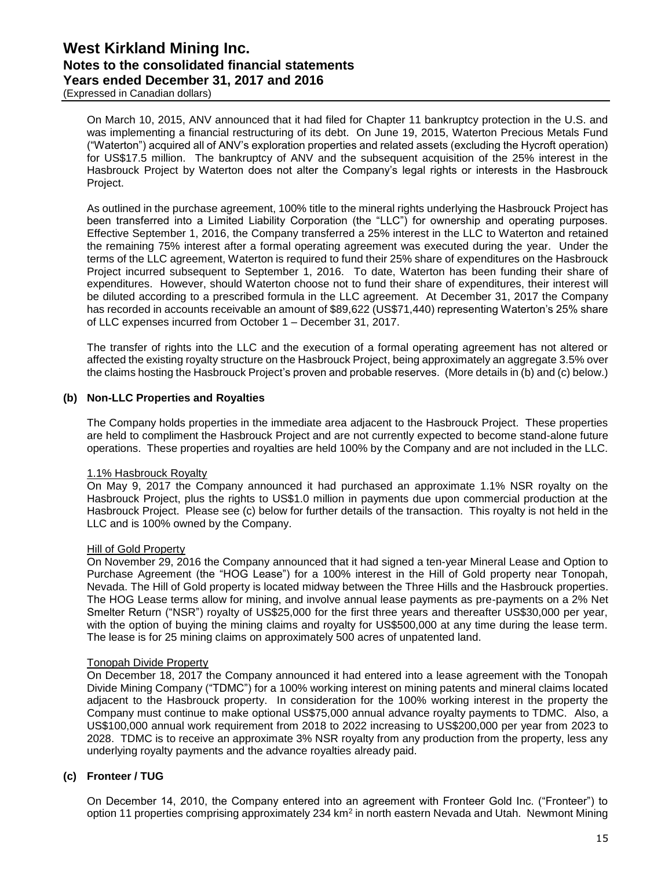(Expressed in Canadian dollars)

On March 10, 2015, ANV announced that it had filed for Chapter 11 bankruptcy protection in the U.S. and was implementing a financial restructuring of its debt. On June 19, 2015, Waterton Precious Metals Fund ("Waterton") acquired all of ANV's exploration properties and related assets (excluding the Hycroft operation) for US\$17.5 million. The bankruptcy of ANV and the subsequent acquisition of the 25% interest in the Hasbrouck Project by Waterton does not alter the Company's legal rights or interests in the Hasbrouck Project.

As outlined in the purchase agreement, 100% title to the mineral rights underlying the Hasbrouck Project has been transferred into a Limited Liability Corporation (the "LLC") for ownership and operating purposes. Effective September 1, 2016, the Company transferred a 25% interest in the LLC to Waterton and retained the remaining 75% interest after a formal operating agreement was executed during the year. Under the terms of the LLC agreement, Waterton is required to fund their 25% share of expenditures on the Hasbrouck Project incurred subsequent to September 1, 2016. To date, Waterton has been funding their share of expenditures. However, should Waterton choose not to fund their share of expenditures, their interest will be diluted according to a prescribed formula in the LLC agreement. At December 31, 2017 the Company has recorded in accounts receivable an amount of \$89,622 (US\$71,440) representing Waterton's 25% share of LLC expenses incurred from October 1 – December 31, 2017.

The transfer of rights into the LLC and the execution of a formal operating agreement has not altered or affected the existing royalty structure on the Hasbrouck Project, being approximately an aggregate 3.5% over the claims hosting the Hasbrouck Project's proven and probable reserves. (More details in (b) and (c) below.)

### **(b) Non-LLC Properties and Royalties**

The Company holds properties in the immediate area adjacent to the Hasbrouck Project. These properties are held to compliment the Hasbrouck Project and are not currently expected to become stand-alone future operations. These properties and royalties are held 100% by the Company and are not included in the LLC.

### 1.1% Hasbrouck Royalty

On May 9, 2017 the Company announced it had purchased an approximate 1.1% NSR royalty on the Hasbrouck Project, plus the rights to US\$1.0 million in payments due upon commercial production at the Hasbrouck Project. Please see (c) below for further details of the transaction. This royalty is not held in the LLC and is 100% owned by the Company.

### Hill of Gold Property

On November 29, 2016 the Company announced that it had signed a ten-year Mineral Lease and Option to Purchase Agreement (the "HOG Lease") for a 100% interest in the Hill of Gold property near Tonopah, Nevada. The Hill of Gold property is located midway between the Three Hills and the Hasbrouck properties. The HOG Lease terms allow for mining, and involve annual lease payments as pre-payments on a 2% Net Smelter Return ("NSR") royalty of US\$25,000 for the first three years and thereafter US\$30,000 per year, with the option of buying the mining claims and royalty for US\$500,000 at any time during the lease term. The lease is for 25 mining claims on approximately 500 acres of unpatented land.

### Tonopah Divide Property

On December 18, 2017 the Company announced it had entered into a lease agreement with the Tonopah Divide Mining Company ("TDMC") for a 100% working interest on mining patents and mineral claims located adjacent to the Hasbrouck property. In consideration for the 100% working interest in the property the Company must continue to make optional US\$75,000 annual advance royalty payments to TDMC. Also, a US\$100,000 annual work requirement from 2018 to 2022 increasing to US\$200,000 per year from 2023 to 2028. TDMC is to receive an approximate 3% NSR royalty from any production from the property, less any underlying royalty payments and the advance royalties already paid.

### **(c) Fronteer / TUG**

On December 14, 2010, the Company entered into an agreement with Fronteer Gold Inc. ("Fronteer") to option 11 properties comprising approximately 234 km<sup>2</sup> in north eastern Nevada and Utah. Newmont Mining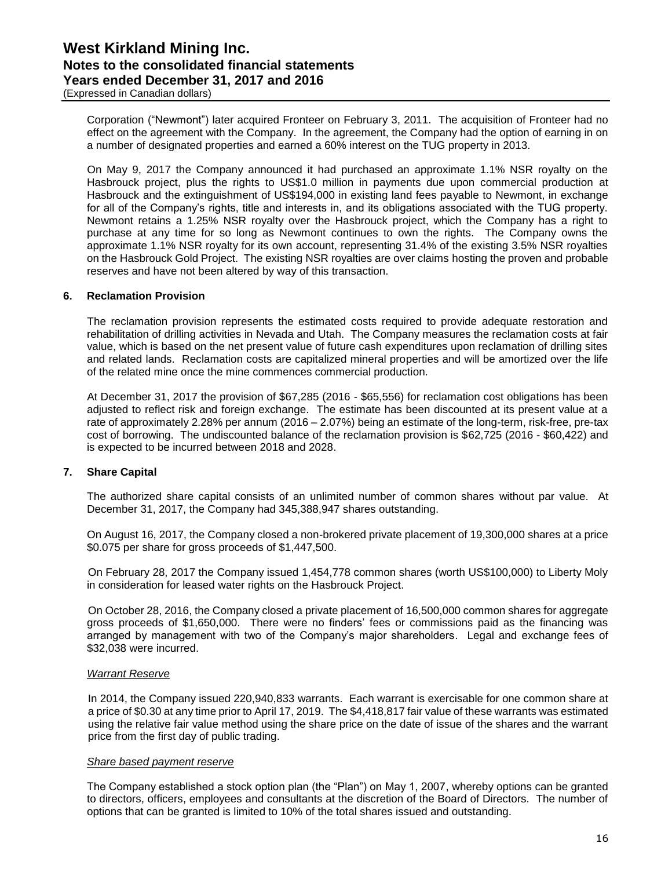(Expressed in Canadian dollars)

Corporation ("Newmont") later acquired Fronteer on February 3, 2011. The acquisition of Fronteer had no effect on the agreement with the Company. In the agreement, the Company had the option of earning in on a number of designated properties and earned a 60% interest on the TUG property in 2013.

On May 9, 2017 the Company announced it had purchased an approximate 1.1% NSR royalty on the Hasbrouck project, plus the rights to US\$1.0 million in payments due upon commercial production at Hasbrouck and the extinguishment of US\$194,000 in existing land fees payable to Newmont, in exchange for all of the Company's rights, title and interests in, and its obligations associated with the TUG property. Newmont retains a 1.25% NSR royalty over the Hasbrouck project, which the Company has a right to purchase at any time for so long as Newmont continues to own the rights. The Company owns the approximate 1.1% NSR royalty for its own account, representing 31.4% of the existing 3.5% NSR royalties on the Hasbrouck Gold Project. The existing NSR royalties are over claims hosting the proven and probable reserves and have not been altered by way of this transaction.

### **6. Reclamation Provision**

The reclamation provision represents the estimated costs required to provide adequate restoration and rehabilitation of drilling activities in Nevada and Utah. The Company measures the reclamation costs at fair value, which is based on the net present value of future cash expenditures upon reclamation of drilling sites and related lands. Reclamation costs are capitalized mineral properties and will be amortized over the life of the related mine once the mine commences commercial production.

At December 31, 2017 the provision of \$67,285 (2016 - \$65,556) for reclamation cost obligations has been adjusted to reflect risk and foreign exchange. The estimate has been discounted at its present value at a rate of approximately 2.28% per annum (2016 – 2.07%) being an estimate of the long-term, risk-free, pre-tax cost of borrowing. The undiscounted balance of the reclamation provision is \$62,725 (2016 - \$60,422) and is expected to be incurred between 2018 and 2028.

### **7. Share Capital**

The authorized share capital consists of an unlimited number of common shares without par value. At December 31, 2017, the Company had 345,388,947 shares outstanding.

On August 16, 2017, the Company closed a non-brokered private placement of 19,300,000 shares at a price \$0.075 per share for gross proceeds of \$1,447,500.

On February 28, 2017 the Company issued 1,454,778 common shares (worth US\$100,000) to Liberty Moly in consideration for leased water rights on the Hasbrouck Project.

On October 28, 2016, the Company closed a private placement of 16,500,000 common shares for aggregate gross proceeds of \$1,650,000. There were no finders' fees or commissions paid as the financing was arranged by management with two of the Company's major shareholders. Legal and exchange fees of \$32,038 were incurred.

#### *Warrant Reserve*

In 2014, the Company issued 220,940,833 warrants. Each warrant is exercisable for one common share at a price of \$0.30 at any time prior to April 17, 2019. The \$4,418,817 fair value of these warrants was estimated using the relative fair value method using the share price on the date of issue of the shares and the warrant price from the first day of public trading.

#### *Share based payment reserve*

The Company established a stock option plan (the "Plan") on May 1, 2007, whereby options can be granted to directors, officers, employees and consultants at the discretion of the Board of Directors. The number of options that can be granted is limited to 10% of the total shares issued and outstanding.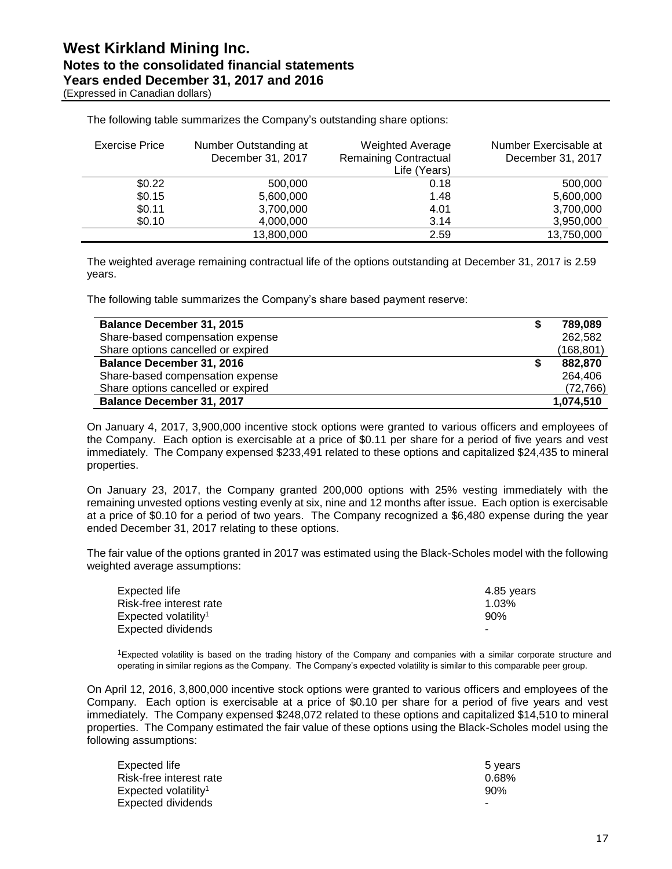(Expressed in Canadian dollars)

| Exercise Price | Number Outstanding at<br>December 31, 2017 | <b>Weighted Average</b><br><b>Remaining Contractual</b><br>Life (Years) | Number Exercisable at<br>December 31, 2017 |
|----------------|--------------------------------------------|-------------------------------------------------------------------------|--------------------------------------------|
| \$0.22         | 500,000                                    | 0.18                                                                    | 500,000                                    |
| \$0.15         | 5,600,000                                  | 1.48                                                                    | 5,600,000                                  |
| \$0.11         | 3,700,000                                  | 4.01                                                                    | 3,700,000                                  |
| \$0.10         | 4,000,000                                  | 3.14                                                                    | 3,950,000                                  |
|                | 13,800,000                                 | 2.59                                                                    | 13,750,000                                 |

The following table summarizes the Company's outstanding share options:

The weighted average remaining contractual life of the options outstanding at December 31, 2017 is 2.59 years.

The following table summarizes the Company's share based payment reserve:

| <b>Balance December 31, 2015</b>   | 789.089    |
|------------------------------------|------------|
| Share-based compensation expense   | 262.582    |
| Share options cancelled or expired | (168, 801) |
| <b>Balance December 31, 2016</b>   | 882.870    |
| Share-based compensation expense   | 264.406    |
| Share options cancelled or expired | (72, 766)  |
| <b>Balance December 31, 2017</b>   | 1,074,510  |

On January 4, 2017, 3,900,000 incentive stock options were granted to various officers and employees of the Company. Each option is exercisable at a price of \$0.11 per share for a period of five years and vest immediately. The Company expensed \$233,491 related to these options and capitalized \$24,435 to mineral properties.

On January 23, 2017, the Company granted 200,000 options with 25% vesting immediately with the remaining unvested options vesting evenly at six, nine and 12 months after issue. Each option is exercisable at a price of \$0.10 for a period of two years. The Company recognized a \$6,480 expense during the year ended December 31, 2017 relating to these options.

The fair value of the options granted in 2017 was estimated using the Black-Scholes model with the following weighted average assumptions:

| Expected life                    | 4.85 vears |
|----------------------------------|------------|
| Risk-free interest rate          | 1.03%      |
| Expected volatility <sup>1</sup> | 90%        |
| Expected dividends               |            |

<sup>1</sup>Expected volatility is based on the trading history of the Company and companies with a similar corporate structure and operating in similar regions as the Company. The Company's expected volatility is similar to this comparable peer group.

On April 12, 2016, 3,800,000 incentive stock options were granted to various officers and employees of the Company. Each option is exercisable at a price of \$0.10 per share for a period of five years and vest immediately. The Company expensed \$248,072 related to these options and capitalized \$14,510 to mineral properties. The Company estimated the fair value of these options using the Black-Scholes model using the following assumptions:

| Expected life                    | 5 vears  |
|----------------------------------|----------|
| Risk-free interest rate          | $0.68\%$ |
| Expected volatility <sup>1</sup> | 90%      |
| Expected dividends               | -        |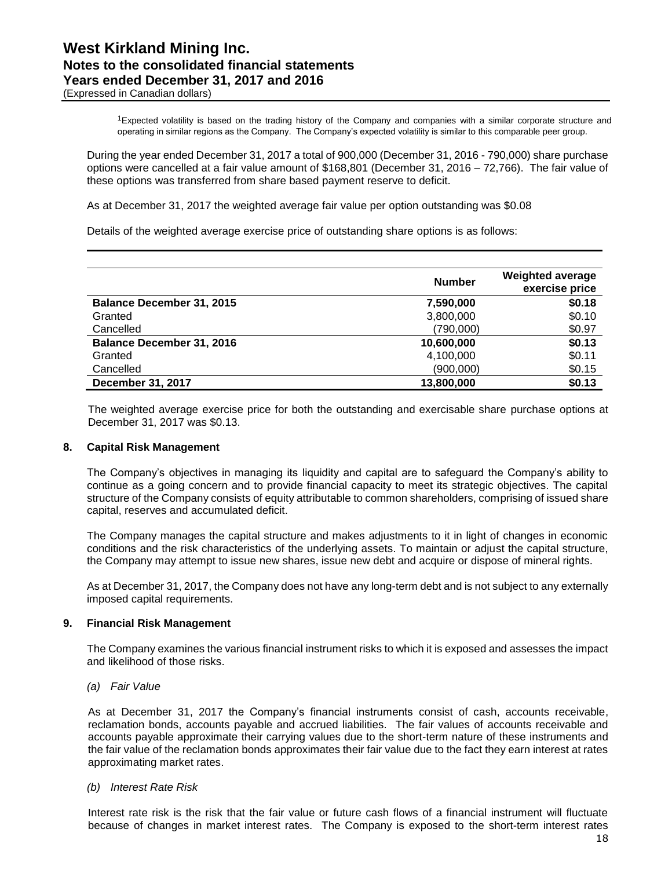(Expressed in Canadian dollars)

<sup>1</sup>Expected volatility is based on the trading history of the Company and companies with a similar corporate structure and operating in similar regions as the Company. The Company's expected volatility is similar to this comparable peer group.

During the year ended December 31, 2017 a total of 900,000 (December 31, 2016 - 790,000) share purchase options were cancelled at a fair value amount of \$168,801 (December 31, 2016 – 72,766). The fair value of these options was transferred from share based payment reserve to deficit.

As at December 31, 2017 the weighted average fair value per option outstanding was \$0.08

Details of the weighted average exercise price of outstanding share options is as follows:

| <b>Number</b> | <b>Weighted average</b><br>exercise price |
|---------------|-------------------------------------------|
| 7,590,000     | \$0.18                                    |
| 3,800,000     | \$0.10                                    |
| (790,000)     | \$0.97                                    |
| 10,600,000    | \$0.13                                    |
| 4,100,000     | \$0.11                                    |
| (900,000)     | \$0.15                                    |
| 13,800,000    | \$0.13                                    |
|               |                                           |

The weighted average exercise price for both the outstanding and exercisable share purchase options at December 31, 2017 was \$0.13.

### **8. Capital Risk Management**

The Company's objectives in managing its liquidity and capital are to safeguard the Company's ability to continue as a going concern and to provide financial capacity to meet its strategic objectives. The capital structure of the Company consists of equity attributable to common shareholders, comprising of issued share capital, reserves and accumulated deficit.

The Company manages the capital structure and makes adjustments to it in light of changes in economic conditions and the risk characteristics of the underlying assets. To maintain or adjust the capital structure, the Company may attempt to issue new shares, issue new debt and acquire or dispose of mineral rights.

As at December 31, 2017, the Company does not have any long-term debt and is not subject to any externally imposed capital requirements.

### **9. Financial Risk Management**

The Company examines the various financial instrument risks to which it is exposed and assesses the impact and likelihood of those risks.

*(a) Fair Value*

As at December 31, 2017 the Company's financial instruments consist of cash, accounts receivable, reclamation bonds, accounts payable and accrued liabilities. The fair values of accounts receivable and accounts payable approximate their carrying values due to the short-term nature of these instruments and the fair value of the reclamation bonds approximates their fair value due to the fact they earn interest at rates approximating market rates.

#### *(b) Interest Rate Risk*

Interest rate risk is the risk that the fair value or future cash flows of a financial instrument will fluctuate because of changes in market interest rates. The Company is exposed to the short-term interest rates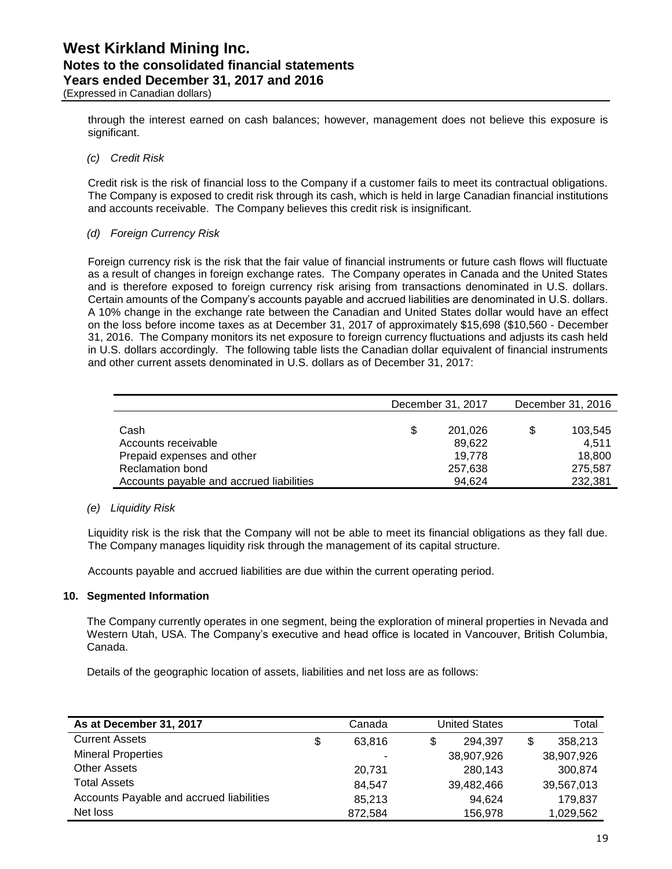through the interest earned on cash balances; however, management does not believe this exposure is significant.

### *(c) Credit Risk*

Credit risk is the risk of financial loss to the Company if a customer fails to meet its contractual obligations. The Company is exposed to credit risk through its cash, which is held in large Canadian financial institutions and accounts receivable. The Company believes this credit risk is insignificant.

### *(d) Foreign Currency Risk*

Foreign currency risk is the risk that the fair value of financial instruments or future cash flows will fluctuate as a result of changes in foreign exchange rates. The Company operates in Canada and the United States and is therefore exposed to foreign currency risk arising from transactions denominated in U.S. dollars. Certain amounts of the Company's accounts payable and accrued liabilities are denominated in U.S. dollars. A 10% change in the exchange rate between the Canadian and United States dollar would have an effect on the loss before income taxes as at December 31, 2017 of approximately \$15,698 (\$10,560 - December 31, 2016. The Company monitors its net exposure to foreign currency fluctuations and adjusts its cash held in U.S. dollars accordingly. The following table lists the Canadian dollar equivalent of financial instruments and other current assets denominated in U.S. dollars as of December 31, 2017:

|                                          |   | December 31, 2017 |    | December 31, 2016 |  |  |
|------------------------------------------|---|-------------------|----|-------------------|--|--|
|                                          |   |                   |    |                   |  |  |
| Cash                                     | S | 201.026           | \$ | 103,545           |  |  |
| Accounts receivable                      |   | 89.622            |    | 4.511             |  |  |
| Prepaid expenses and other               |   | 19.778            |    | 18,800            |  |  |
| <b>Reclamation bond</b>                  |   | 257,638           |    | 275.587           |  |  |
| Accounts payable and accrued liabilities |   | 94.624            |    | 232.381           |  |  |

### *(e) Liquidity Risk*

Liquidity risk is the risk that the Company will not be able to meet its financial obligations as they fall due. The Company manages liquidity risk through the management of its capital structure.

Accounts payable and accrued liabilities are due within the current operating period.

### **10. Segmented Information**

The Company currently operates in one segment, being the exploration of mineral properties in Nevada and Western Utah, USA. The Company's executive and head office is located in Vancouver, British Columbia, Canada.

Details of the geographic location of assets, liabilities and net loss are as follows:

| As at December 31, 2017                  | Canada                   | <b>United States</b> |   | Total      |
|------------------------------------------|--------------------------|----------------------|---|------------|
| <b>Current Assets</b>                    | \$<br>63.816             | 294.397              | S | 358.213    |
| <b>Mineral Properties</b>                | $\overline{\phantom{a}}$ | 38,907,926           |   | 38,907,926 |
| <b>Other Assets</b>                      | 20.731                   | 280,143              |   | 300.874    |
| <b>Total Assets</b>                      | 84.547                   | 39,482,466           |   | 39,567,013 |
| Accounts Payable and accrued liabilities | 85.213                   | 94.624               |   | 179.837    |
| Net loss                                 | 872,584                  | 156,978              |   | 1,029,562  |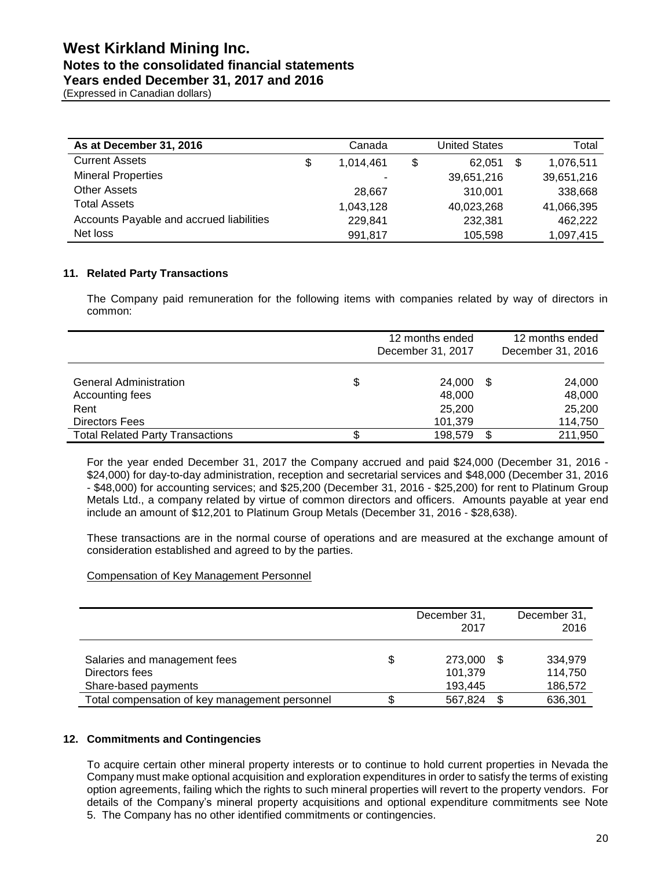### **Notes to the consolidated financial statements**

**Years ended December 31, 2017 and 2016**

(Expressed in Canadian dollars)

| As at December 31, 2016                  | Canada          | <b>United States</b> |     | Total      |
|------------------------------------------|-----------------|----------------------|-----|------------|
| <b>Current Assets</b>                    | \$<br>1.014.461 | \$<br>62.051         | -\$ | 1,076,511  |
| <b>Mineral Properties</b>                | ۰               | 39,651,216           |     | 39,651,216 |
| <b>Other Assets</b>                      | 28.667          | 310.001              |     | 338,668    |
| <b>Total Assets</b>                      | 1,043,128       | 40,023,268           |     | 41,066,395 |
| Accounts Payable and accrued liabilities | 229.841         | 232,381              |     | 462,222    |
| Net loss                                 | 991,817         | 105,598              |     | 1,097,415  |

### **11. Related Party Transactions**

The Company paid remuneration for the following items with companies related by way of directors in common:

|                                                                            | 12 months ended<br>December 31, 2017        |    | 12 months ended<br>December 31, 2016  |
|----------------------------------------------------------------------------|---------------------------------------------|----|---------------------------------------|
| <b>General Administration</b><br>Accounting fees<br>Rent<br>Directors Fees | \$<br>24.000<br>48,000<br>25,200<br>101,379 | \$ | 24,000<br>48,000<br>25,200<br>114,750 |
| <b>Total Related Party Transactions</b>                                    | \$<br>198.579                               | ß. | 211,950                               |

For the year ended December 31, 2017 the Company accrued and paid \$24,000 (December 31, 2016 - \$24,000) for day-to-day administration, reception and secretarial services and \$48,000 (December 31, 2016 - \$48,000) for accounting services; and \$25,200 (December 31, 2016 - \$25,200) for rent to Platinum Group Metals Ltd., a company related by virtue of common directors and officers. Amounts payable at year end include an amount of \$12,201 to Platinum Group Metals (December 31, 2016 - \$28,638).

These transactions are in the normal course of operations and are measured at the exchange amount of consideration established and agreed to by the parties.

### Compensation of Key Management Personnel

|                                                                        |    | December 31,<br>2017          | December 31,<br>2016          |
|------------------------------------------------------------------------|----|-------------------------------|-------------------------------|
| Salaries and management fees<br>Directors fees<br>Share-based payments | \$ | 273.000<br>101,379<br>193,445 | 334.979<br>114,750<br>186,572 |
| Total compensation of key management personnel                         | œ  | 567,824                       | 636,301                       |

### **12. Commitments and Contingencies**

To acquire certain other mineral property interests or to continue to hold current properties in Nevada the Company must make optional acquisition and exploration expenditures in order to satisfy the terms of existing option agreements, failing which the rights to such mineral properties will revert to the property vendors. For details of the Company's mineral property acquisitions and optional expenditure commitments see Note 5. The Company has no other identified commitments or contingencies.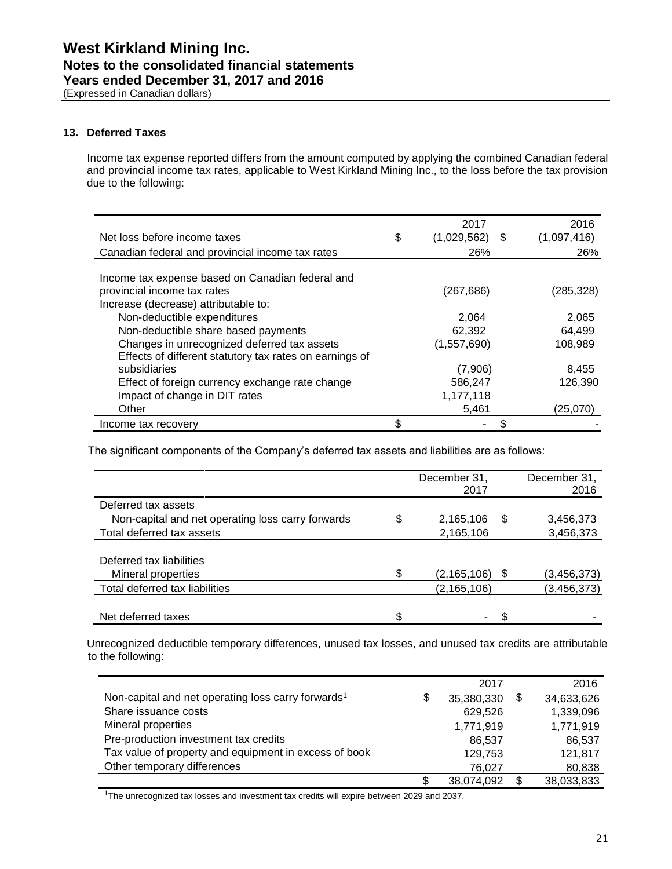(Expressed in Canadian dollars)

### **13. Deferred Taxes**

Income tax expense reported differs from the amount computed by applying the combined Canadian federal and provincial income tax rates, applicable to West Kirkland Mining Inc., to the loss before the tax provision due to the following:

|                                                         | 2017                   | 2016        |
|---------------------------------------------------------|------------------------|-------------|
| Net loss before income taxes                            | \$<br>$(1,029,562)$ \$ | (1,097,416) |
| Canadian federal and provincial income tax rates        | 26%                    | 26%         |
|                                                         |                        |             |
| Income tax expense based on Canadian federal and        |                        |             |
| provincial income tax rates                             | (267, 686)             | (285, 328)  |
| Increase (decrease) attributable to:                    |                        |             |
| Non-deductible expenditures                             | 2,064                  | 2,065       |
| Non-deductible share based payments                     | 62,392                 | 64.499      |
| Changes in unrecognized deferred tax assets             | (1,557,690)            | 108.989     |
| Effects of different statutory tax rates on earnings of |                        |             |
| subsidiaries                                            | (7,906)                | 8,455       |
| Effect of foreign currency exchange rate change         | 586,247                | 126,390     |
| Impact of change in DIT rates                           | 1,177,118              |             |
| Other                                                   | 5,461                  | (25,070)    |
| Income tax recovery                                     | \$                     |             |

The significant components of the Company's deferred tax assets and liabilities are as follows:

|                                                   | December 31,<br>2017 |    | December 31,<br>2016 |
|---------------------------------------------------|----------------------|----|----------------------|
| Deferred tax assets                               |                      |    |                      |
| Non-capital and net operating loss carry forwards | 2,165,106            | S  | 3,456,373            |
| Total deferred tax assets                         | 2,165,106            |    | 3,456,373            |
|                                                   |                      |    |                      |
| Deferred tax liabilities                          |                      |    |                      |
| Mineral properties                                | \$<br>(2, 165, 106)  | \$ | (3, 456, 373)        |
| Total deferred tax liabilities                    | (2, 165, 106)        |    | (3, 456, 373)        |
|                                                   |                      |    |                      |
| Net deferred taxes                                | \$<br>۰              |    |                      |

Unrecognized deductible temporary differences, unused tax losses, and unused tax credits are attributable to the following:

|                                                                | 2017             |    | 2016       |
|----------------------------------------------------------------|------------------|----|------------|
| Non-capital and net operating loss carry forwards <sup>1</sup> | \$<br>35,380,330 | \$ | 34,633,626 |
| Share issuance costs                                           | 629,526          |    | 1,339,096  |
| Mineral properties                                             | 1,771,919        |    | 1,771,919  |
| Pre-production investment tax credits                          | 86.537           |    | 86.537     |
| Tax value of property and equipment in excess of book          | 129,753          |    | 121,817    |
| Other temporary differences                                    | 76.027           |    | 80,838     |
|                                                                | \$<br>38,074,092 | S  | 38,033,833 |

<sup>1</sup>The unrecognized tax losses and investment tax credits will expire between 2029 and 2037.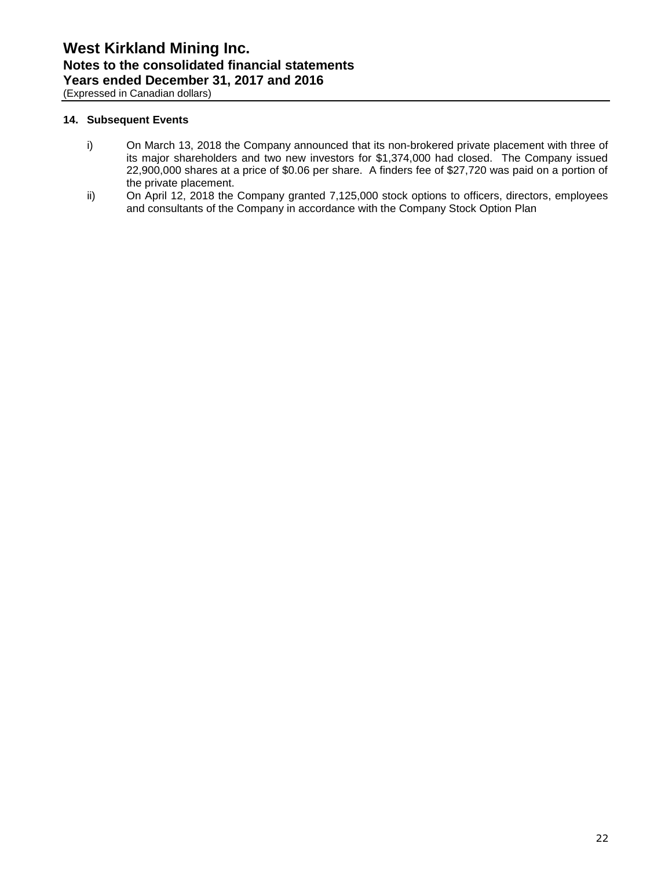(Expressed in Canadian dollars)

### **14. Subsequent Events**

- i) On March 13, 2018 the Company announced that its non-brokered private placement with three of its major shareholders and two new investors for \$1,374,000 had closed. The Company issued 22,900,000 shares at a price of \$0.06 per share. A finders fee of \$27,720 was paid on a portion of the private placement.
- ii) On April 12, 2018 the Company granted 7,125,000 stock options to officers, directors, employees and consultants of the Company in accordance with the Company Stock Option Plan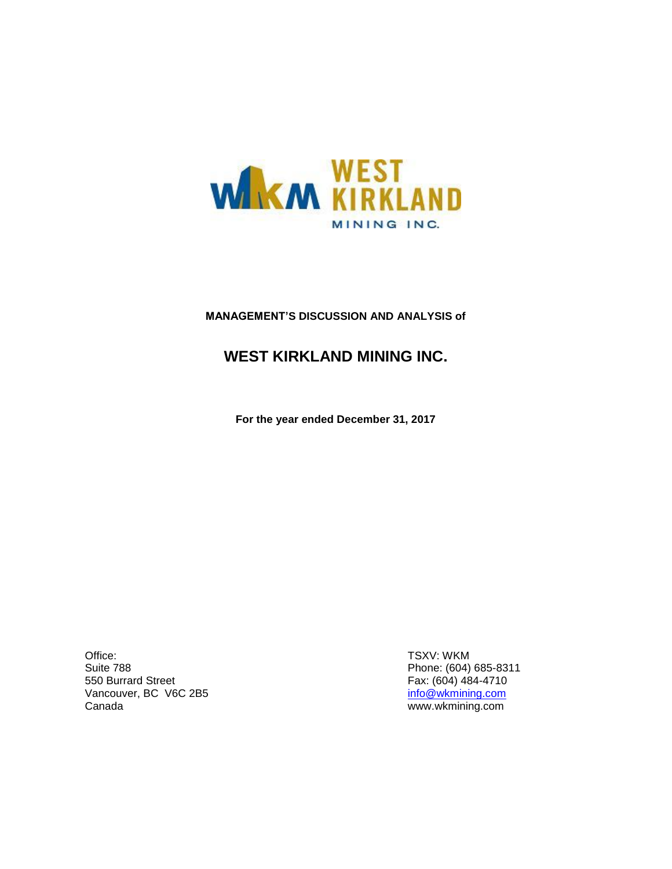

### **MANAGEMENT'S DISCUSSION AND ANALYSIS of**

## **WEST KIRKLAND MINING INC.**

**For the year ended December 31, 2017**

Office: Suite 788 550 Burrard Street Vancouver, BC V6C 2B5 Canada

TSXV: WKM Phone: (604) 685-8311 Fax: (604) 484-4710 [info@wkmining.com](mailto:info@wkmining.com) www.wkmining.com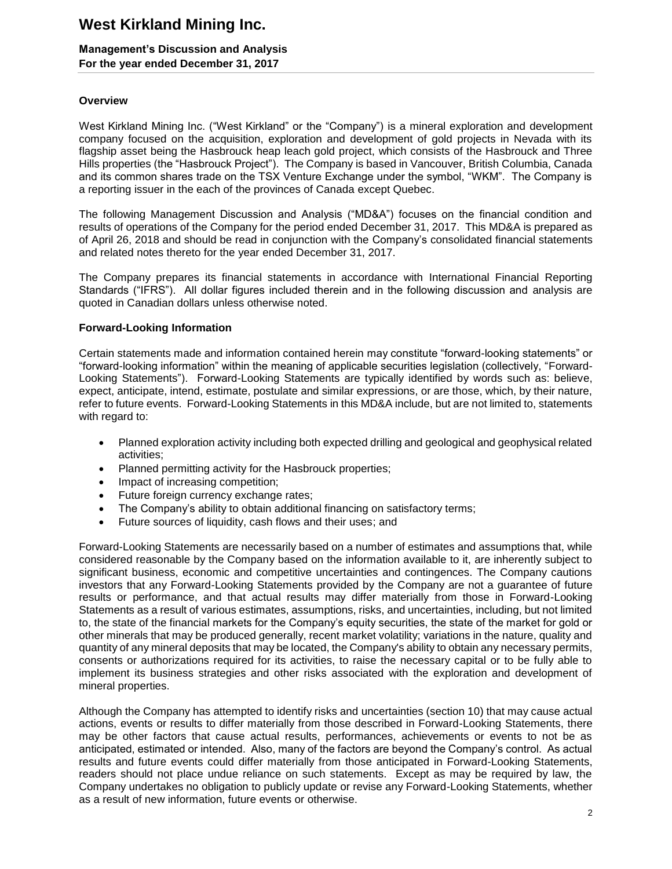### **Management's Discussion and Analysis For the year ended December 31, 2017**

### **Overview**

West Kirkland Mining Inc. ("West Kirkland" or the "Company") is a mineral exploration and development company focused on the acquisition, exploration and development of gold projects in Nevada with its flagship asset being the Hasbrouck heap leach gold project, which consists of the Hasbrouck and Three Hills properties (the "Hasbrouck Project"). The Company is based in Vancouver, British Columbia, Canada and its common shares trade on the TSX Venture Exchange under the symbol, "WKM". The Company is a reporting issuer in the each of the provinces of Canada except Quebec.

The following Management Discussion and Analysis ("MD&A") focuses on the financial condition and results of operations of the Company for the period ended December 31, 2017. This MD&A is prepared as of April 26, 2018 and should be read in conjunction with the Company's consolidated financial statements and related notes thereto for the year ended December 31, 2017.

The Company prepares its financial statements in accordance with International Financial Reporting Standards ("IFRS"). All dollar figures included therein and in the following discussion and analysis are quoted in Canadian dollars unless otherwise noted.

### **Forward-Looking Information**

Certain statements made and information contained herein may constitute "forward-looking statements" or "forward-looking information" within the meaning of applicable securities legislation (collectively, "Forward-Looking Statements"). Forward-Looking Statements are typically identified by words such as: believe, expect, anticipate, intend, estimate, postulate and similar expressions, or are those, which, by their nature, refer to future events. Forward-Looking Statements in this MD&A include, but are not limited to, statements with regard to:

- Planned exploration activity including both expected drilling and geological and geophysical related activities;
- Planned permitting activity for the Hasbrouck properties;
- Impact of increasing competition;
- Future foreign currency exchange rates;
- The Company's ability to obtain additional financing on satisfactory terms;
- Future sources of liquidity, cash flows and their uses; and

Forward-Looking Statements are necessarily based on a number of estimates and assumptions that, while considered reasonable by the Company based on the information available to it, are inherently subject to significant business, economic and competitive uncertainties and contingences. The Company cautions investors that any Forward-Looking Statements provided by the Company are not a guarantee of future results or performance, and that actual results may differ materially from those in Forward-Looking Statements as a result of various estimates, assumptions, risks, and uncertainties, including, but not limited to, the state of the financial markets for the Company's equity securities, the state of the market for gold or other minerals that may be produced generally, recent market volatility; variations in the nature, quality and quantity of any mineral deposits that may be located, the Company's ability to obtain any necessary permits, consents or authorizations required for its activities, to raise the necessary capital or to be fully able to implement its business strategies and other risks associated with the exploration and development of mineral properties.

Although the Company has attempted to identify risks and uncertainties (section 10) that may cause actual actions, events or results to differ materially from those described in Forward-Looking Statements, there may be other factors that cause actual results, performances, achievements or events to not be as anticipated, estimated or intended. Also, many of the factors are beyond the Company's control. As actual results and future events could differ materially from those anticipated in Forward-Looking Statements, readers should not place undue reliance on such statements. Except as may be required by law, the Company undertakes no obligation to publicly update or revise any Forward-Looking Statements, whether as a result of new information, future events or otherwise.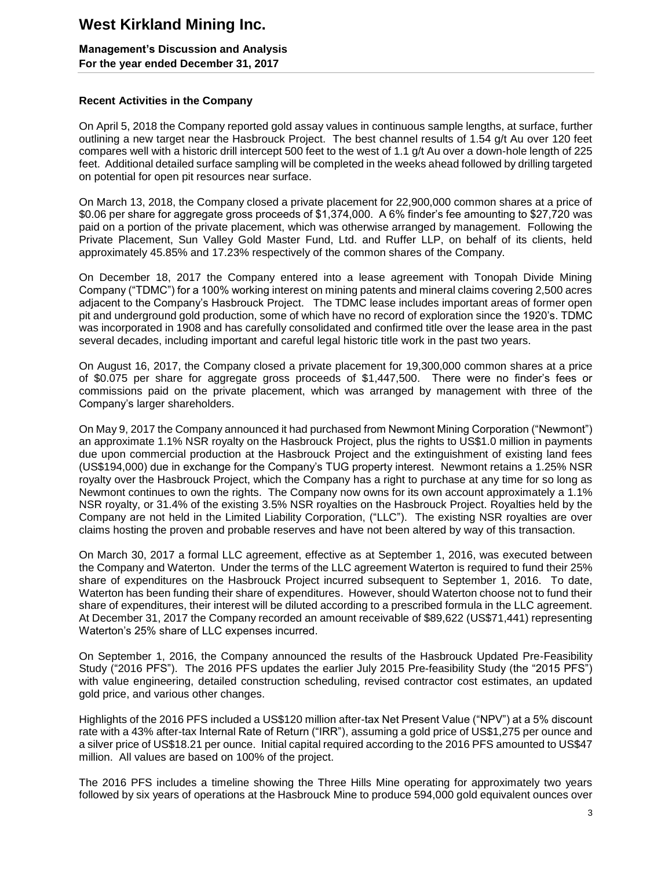### **Management's Discussion and Analysis For the year ended December 31, 2017**

### **Recent Activities in the Company**

On April 5, 2018 the Company reported gold assay values in continuous sample lengths, at surface, further outlining a new target near the Hasbrouck Project. The best channel results of 1.54 g/t Au over 120 feet compares well with a historic drill intercept 500 feet to the west of 1.1 g/t Au over a down-hole length of 225 feet. Additional detailed surface sampling will be completed in the weeks ahead followed by drilling targeted on potential for open pit resources near surface.

On March 13, 2018, the Company closed a private placement for 22,900,000 common shares at a price of \$0.06 per share for aggregate gross proceeds of \$1,374,000. A 6% finder's fee amounting to \$27,720 was paid on a portion of the private placement, which was otherwise arranged by management. Following the Private Placement, Sun Valley Gold Master Fund, Ltd. and Ruffer LLP, on behalf of its clients, held approximately 45.85% and 17.23% respectively of the common shares of the Company.

On December 18, 2017 the Company entered into a lease agreement with Tonopah Divide Mining Company ("TDMC") for a 100% working interest on mining patents and mineral claims covering 2,500 acres adjacent to the Company's Hasbrouck Project. The TDMC lease includes important areas of former open pit and underground gold production, some of which have no record of exploration since the 1920's. TDMC was incorporated in 1908 and has carefully consolidated and confirmed title over the lease area in the past several decades, including important and careful legal historic title work in the past two years.

On August 16, 2017, the Company closed a private placement for 19,300,000 common shares at a price of \$0.075 per share for aggregate gross proceeds of \$1,447,500. There were no finder's fees or commissions paid on the private placement, which was arranged by management with three of the Company's larger shareholders.

On May 9, 2017 the Company announced it had purchased from Newmont Mining Corporation ("Newmont") an approximate 1.1% NSR royalty on the Hasbrouck Project, plus the rights to US\$1.0 million in payments due upon commercial production at the Hasbrouck Project and the extinguishment of existing land fees (US\$194,000) due in exchange for the Company's TUG property interest. Newmont retains a 1.25% NSR royalty over the Hasbrouck Project, which the Company has a right to purchase at any time for so long as Newmont continues to own the rights. The Company now owns for its own account approximately a 1.1% NSR royalty, or 31.4% of the existing 3.5% NSR royalties on the Hasbrouck Project. Royalties held by the Company are not held in the Limited Liability Corporation, ("LLC"). The existing NSR royalties are over claims hosting the proven and probable reserves and have not been altered by way of this transaction.

On March 30, 2017 a formal LLC agreement, effective as at September 1, 2016, was executed between the Company and Waterton. Under the terms of the LLC agreement Waterton is required to fund their 25% share of expenditures on the Hasbrouck Project incurred subsequent to September 1, 2016. To date, Waterton has been funding their share of expenditures. However, should Waterton choose not to fund their share of expenditures, their interest will be diluted according to a prescribed formula in the LLC agreement. At December 31, 2017 the Company recorded an amount receivable of \$89,622 (US\$71,441) representing Waterton's 25% share of LLC expenses incurred.

On September 1, 2016, the Company announced the results of the Hasbrouck Updated Pre-Feasibility Study ("2016 PFS"). The 2016 PFS updates the earlier July 2015 Pre-feasibility Study (the "2015 PFS") with value engineering, detailed construction scheduling, revised contractor cost estimates, an updated gold price, and various other changes.

Highlights of the 2016 PFS included a US\$120 million after-tax Net Present Value ("NPV") at a 5% discount rate with a 43% after-tax Internal Rate of Return ("IRR"), assuming a gold price of US\$1,275 per ounce and a silver price of US\$18.21 per ounce. Initial capital required according to the 2016 PFS amounted to US\$47 million. All values are based on 100% of the project.

The 2016 PFS includes a timeline showing the Three Hills Mine operating for approximately two years followed by six years of operations at the Hasbrouck Mine to produce 594,000 gold equivalent ounces over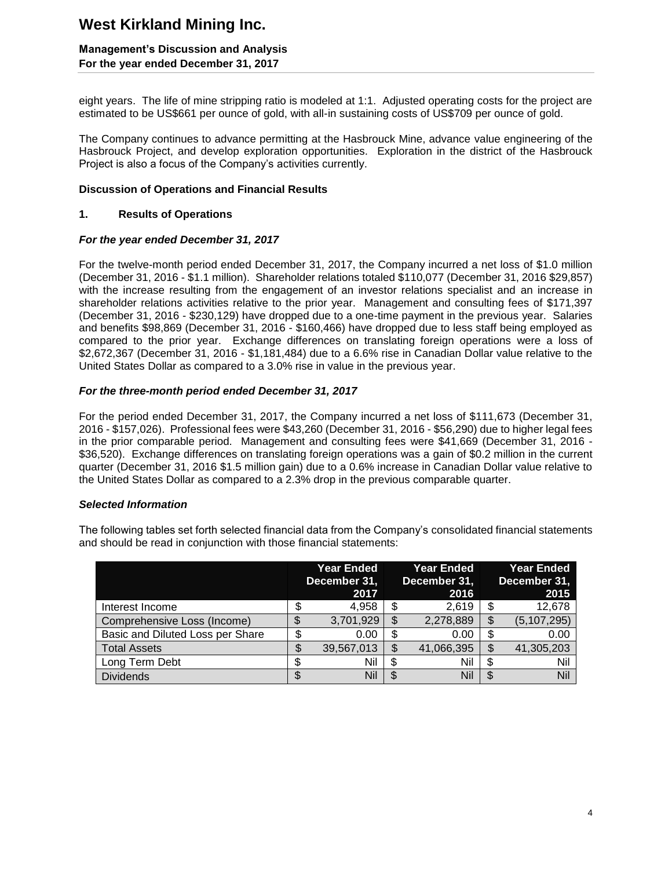### **Management's Discussion and Analysis For the year ended December 31, 2017**

eight years. The life of mine stripping ratio is modeled at 1:1. Adjusted operating costs for the project are estimated to be US\$661 per ounce of gold, with all-in sustaining costs of US\$709 per ounce of gold.

The Company continues to advance permitting at the Hasbrouck Mine, advance value engineering of the Hasbrouck Project, and develop exploration opportunities. Exploration in the district of the Hasbrouck Project is also a focus of the Company's activities currently.

### **Discussion of Operations and Financial Results**

### **1. Results of Operations**

### *For the year ended December 31, 2017*

For the twelve-month period ended December 31, 2017, the Company incurred a net loss of \$1.0 million (December 31, 2016 - \$1.1 million). Shareholder relations totaled \$110,077 (December 31, 2016 \$29,857) with the increase resulting from the engagement of an investor relations specialist and an increase in shareholder relations activities relative to the prior year. Management and consulting fees of \$171,397 (December 31, 2016 - \$230,129) have dropped due to a one-time payment in the previous year. Salaries and benefits \$98,869 (December 31, 2016 - \$160,466) have dropped due to less staff being employed as compared to the prior year. Exchange differences on translating foreign operations were a loss of \$2,672,367 (December 31, 2016 - \$1,181,484) due to a 6.6% rise in Canadian Dollar value relative to the United States Dollar as compared to a 3.0% rise in value in the previous year.

### *For the three-month period ended December 31, 2017*

For the period ended December 31, 2017, the Company incurred a net loss of \$111,673 (December 31, 2016 - \$157,026). Professional fees were \$43,260 (December 31, 2016 - \$56,290) due to higher legal fees in the prior comparable period. Management and consulting fees were \$41,669 (December 31, 2016 - \$36,520). Exchange differences on translating foreign operations was a gain of \$0.2 million in the current quarter (December 31, 2016 \$1.5 million gain) due to a 0.6% increase in Canadian Dollar value relative to the United States Dollar as compared to a 2.3% drop in the previous comparable quarter.

### *Selected Information*

The following tables set forth selected financial data from the Company's consolidated financial statements and should be read in conjunction with those financial statements:

|                                  |    | Year Ended<br>December 31,<br>2017 | <b>Year Ended</b><br>December 31,<br>2016 |    | <b>Year Ended</b><br>December 31,<br>2015 |
|----------------------------------|----|------------------------------------|-------------------------------------------|----|-------------------------------------------|
| Interest Income                  | Φ  | 4,958                              | \$<br>2,619                               |    | 12,678                                    |
| Comprehensive Loss (Income)      |    | 3,701,929                          | \$<br>2,278,889                           | \$ | (5, 107, 295)                             |
| Basic and Diluted Loss per Share | \$ | 0.00                               | \$<br>0.00                                | S  | 0.00                                      |
| <b>Total Assets</b>              | \$ | 39,567,013                         | \$<br>41,066,395                          |    | 41,305,203                                |
| Long Term Debt                   |    | Nil                                | \$<br>Nil                                 | S  | Nil                                       |
| <b>Dividends</b>                 |    | Nil                                | \$<br>Nil                                 | S  | Nil                                       |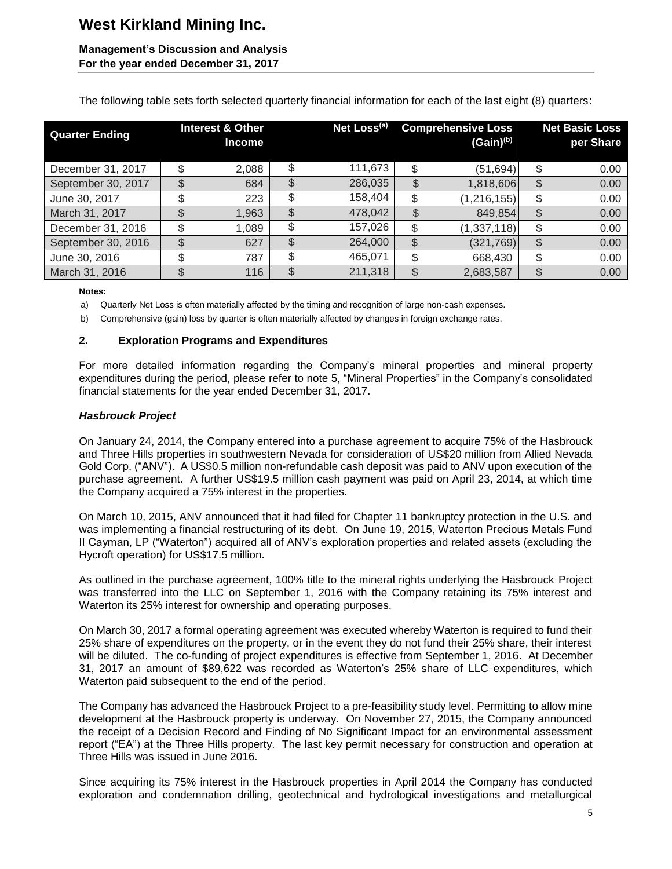### **Management's Discussion and Analysis For the year ended December 31, 2017**

The following table sets forth selected quarterly financial information for each of the last eight (8) quarters:

| <b>Quarter Ending</b> |    | <b>Interest &amp; Other</b><br><b>Income</b> | Net Loss <sup>(a)</sup> | <b>Comprehensive Loss</b><br>$(Gain)^{(b)}$ | <b>Net Basic Loss</b><br>per Share |
|-----------------------|----|----------------------------------------------|-------------------------|---------------------------------------------|------------------------------------|
| December 31, 2017     | \$ | 2,088                                        | \$<br>111,673           | \$<br>(51, 694)                             | \$<br>0.00                         |
| September 30, 2017    | \$ | 684                                          | \$<br>286,035           | \$<br>1,818,606                             | \$<br>0.00                         |
| June 30, 2017         | \$ | 223                                          | \$<br>158,404           | \$<br>(1, 216, 155)                         | \$<br>0.00                         |
| March 31, 2017        | \$ | 1,963                                        | \$<br>478,042           | \$<br>849,854                               | \$<br>0.00                         |
| December 31, 2016     | S  | 1,089                                        | \$<br>157,026           | \$<br>(1, 337, 118)                         | \$<br>0.00                         |
| September 30, 2016    | \$ | 627                                          | \$<br>264,000           | \$<br>(321, 769)                            | \$<br>0.00                         |
| June 30, 2016         | \$ | 787                                          | \$<br>465,071           | \$<br>668,430                               | \$<br>0.00                         |
| March 31, 2016        |    | 116                                          | \$<br>211,318           | 2,683,587                                   | 0.00                               |

#### **Notes:**

a) Quarterly Net Loss is often materially affected by the timing and recognition of large non-cash expenses.

b) Comprehensive (gain) loss by quarter is often materially affected by changes in foreign exchange rates.

### **2. Exploration Programs and Expenditures**

For more detailed information regarding the Company's mineral properties and mineral property expenditures during the period, please refer to note 5, "Mineral Properties" in the Company's consolidated financial statements for the year ended December 31, 2017.

### *Hasbrouck Project*

On January 24, 2014, the Company entered into a purchase agreement to acquire 75% of the Hasbrouck and Three Hills properties in southwestern Nevada for consideration of US\$20 million from Allied Nevada Gold Corp. ("ANV"). A US\$0.5 million non-refundable cash deposit was paid to ANV upon execution of the purchase agreement. A further US\$19.5 million cash payment was paid on April 23, 2014, at which time the Company acquired a 75% interest in the properties.

On March 10, 2015, ANV announced that it had filed for Chapter 11 bankruptcy protection in the U.S. and was implementing a financial restructuring of its debt. On June 19, 2015, Waterton Precious Metals Fund II Cayman, LP ("Waterton") acquired all of ANV's exploration properties and related assets (excluding the Hycroft operation) for US\$17.5 million.

As outlined in the purchase agreement, 100% title to the mineral rights underlying the Hasbrouck Project was transferred into the LLC on September 1, 2016 with the Company retaining its 75% interest and Waterton its 25% interest for ownership and operating purposes.

On March 30, 2017 a formal operating agreement was executed whereby Waterton is required to fund their 25% share of expenditures on the property, or in the event they do not fund their 25% share, their interest will be diluted. The co-funding of project expenditures is effective from September 1, 2016. At December 31, 2017 an amount of \$89,622 was recorded as Waterton's 25% share of LLC expenditures, which Waterton paid subsequent to the end of the period.

The Company has advanced the Hasbrouck Project to a pre-feasibility study level. Permitting to allow mine development at the Hasbrouck property is underway. On November 27, 2015, the Company announced the receipt of a Decision Record and Finding of No Significant Impact for an environmental assessment report ("EA") at the Three Hills property. The last key permit necessary for construction and operation at Three Hills was issued in June 2016.

Since acquiring its 75% interest in the Hasbrouck properties in April 2014 the Company has conducted exploration and condemnation drilling, geotechnical and hydrological investigations and metallurgical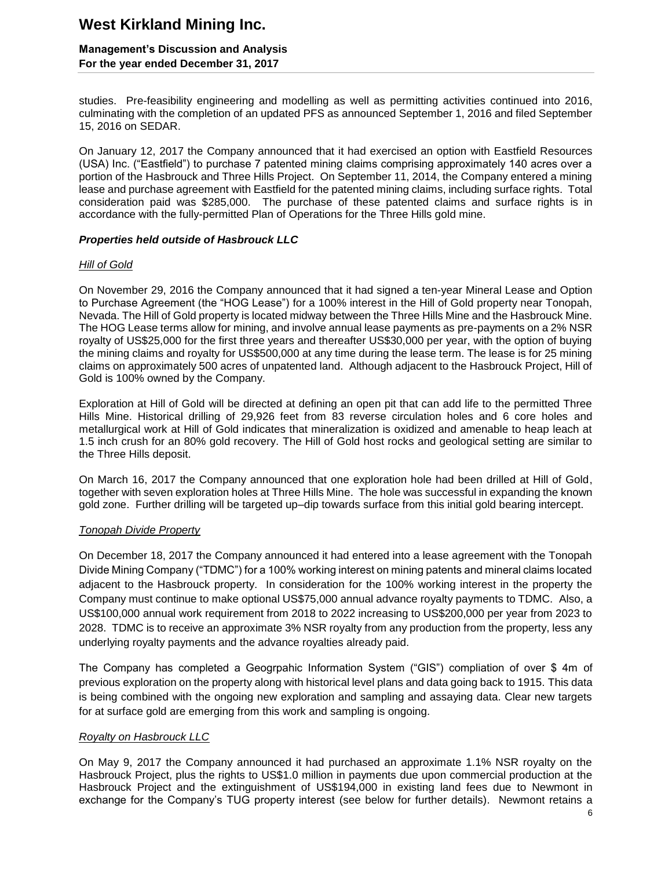### **Management's Discussion and Analysis For the year ended December 31, 2017**

studies. Pre-feasibility engineering and modelling as well as permitting activities continued into 2016, culminating with the completion of an updated PFS as announced September 1, 2016 and filed September 15, 2016 on SEDAR.

On January 12, 2017 the Company announced that it had exercised an option with Eastfield Resources (USA) Inc. ("Eastfield") to purchase 7 patented mining claims comprising approximately 140 acres over a portion of the Hasbrouck and Three Hills Project. On September 11, 2014, the Company entered a mining lease and purchase agreement with Eastfield for the patented mining claims, including surface rights. Total consideration paid was \$285,000. The purchase of these patented claims and surface rights is in accordance with the fully-permitted Plan of Operations for the Three Hills gold mine.

### *Properties held outside of Hasbrouck LLC*

### *Hill of Gold*

On November 29, 2016 the Company announced that it had signed a ten-year Mineral Lease and Option to Purchase Agreement (the "HOG Lease") for a 100% interest in the Hill of Gold property near Tonopah, Nevada. The Hill of Gold property is located midway between the Three Hills Mine and the Hasbrouck Mine. The HOG Lease terms allow for mining, and involve annual lease payments as pre-payments on a 2% NSR royalty of US\$25,000 for the first three years and thereafter US\$30,000 per year, with the option of buying the mining claims and royalty for US\$500,000 at any time during the lease term. The lease is for 25 mining claims on approximately 500 acres of unpatented land. Although adjacent to the Hasbrouck Project, Hill of Gold is 100% owned by the Company.

Exploration at Hill of Gold will be directed at defining an open pit that can add life to the permitted Three Hills Mine. Historical drilling of 29,926 feet from 83 reverse circulation holes and 6 core holes and metallurgical work at Hill of Gold indicates that mineralization is oxidized and amenable to heap leach at 1.5 inch crush for an 80% gold recovery. The Hill of Gold host rocks and geological setting are similar to the Three Hills deposit.

On March 16, 2017 the Company announced that one exploration hole had been drilled at Hill of Gold, together with seven exploration holes at Three Hills Mine. The hole was successful in expanding the known gold zone. Further drilling will be targeted up–dip towards surface from this initial gold bearing intercept.

### *Tonopah Divide Property*

On December 18, 2017 the Company announced it had entered into a lease agreement with the Tonopah Divide Mining Company ("TDMC") for a 100% working interest on mining patents and mineral claims located adjacent to the Hasbrouck property. In consideration for the 100% working interest in the property the Company must continue to make optional US\$75,000 annual advance royalty payments to TDMC. Also, a US\$100,000 annual work requirement from 2018 to 2022 increasing to US\$200,000 per year from 2023 to 2028. TDMC is to receive an approximate 3% NSR royalty from any production from the property, less any underlying royalty payments and the advance royalties already paid.

The Company has completed a Geogrpahic Information System ("GIS") compliation of over \$ 4m of previous exploration on the property along with historical level plans and data going back to 1915. This data is being combined with the ongoing new exploration and sampling and assaying data. Clear new targets for at surface gold are emerging from this work and sampling is ongoing.

### *Royalty on Hasbrouck LLC*

On May 9, 2017 the Company announced it had purchased an approximate 1.1% NSR royalty on the Hasbrouck Project, plus the rights to US\$1.0 million in payments due upon commercial production at the Hasbrouck Project and the extinguishment of US\$194,000 in existing land fees due to Newmont in exchange for the Company's TUG property interest (see below for further details). Newmont retains a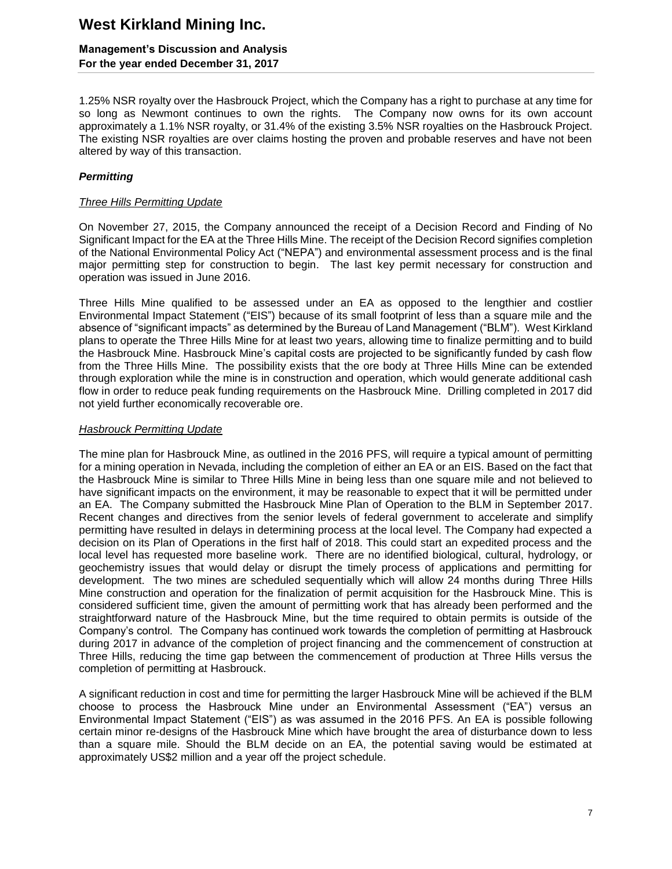### **Management's Discussion and Analysis For the year ended December 31, 2017**

1.25% NSR royalty over the Hasbrouck Project, which the Company has a right to purchase at any time for so long as Newmont continues to own the rights. The Company now owns for its own account approximately a 1.1% NSR royalty, or 31.4% of the existing 3.5% NSR royalties on the Hasbrouck Project. The existing NSR royalties are over claims hosting the proven and probable reserves and have not been altered by way of this transaction.

### *Permitting*

### *Three Hills Permitting Update*

On November 27, 2015, the Company announced the receipt of a Decision Record and Finding of No Significant Impact for the EA at the Three Hills Mine. The receipt of the Decision Record signifies completion of the National Environmental Policy Act ("NEPA") and environmental assessment process and is the final major permitting step for construction to begin. The last key permit necessary for construction and operation was issued in June 2016.

Three Hills Mine qualified to be assessed under an EA as opposed to the lengthier and costlier Environmental Impact Statement ("EIS") because of its small footprint of less than a square mile and the absence of "significant impacts" as determined by the Bureau of Land Management ("BLM"). West Kirkland plans to operate the Three Hills Mine for at least two years, allowing time to finalize permitting and to build the Hasbrouck Mine. Hasbrouck Mine's capital costs are projected to be significantly funded by cash flow from the Three Hills Mine. The possibility exists that the ore body at Three Hills Mine can be extended through exploration while the mine is in construction and operation, which would generate additional cash flow in order to reduce peak funding requirements on the Hasbrouck Mine. Drilling completed in 2017 did not yield further economically recoverable ore.

### *Hasbrouck Permitting Update*

The mine plan for Hasbrouck Mine, as outlined in the 2016 PFS, will require a typical amount of permitting for a mining operation in Nevada, including the completion of either an EA or an EIS. Based on the fact that the Hasbrouck Mine is similar to Three Hills Mine in being less than one square mile and not believed to have significant impacts on the environment, it may be reasonable to expect that it will be permitted under an EA. The Company submitted the Hasbrouck Mine Plan of Operation to the BLM in September 2017. Recent changes and directives from the senior levels of federal government to accelerate and simplify permitting have resulted in delays in determining process at the local level. The Company had expected a decision on its Plan of Operations in the first half of 2018. This could start an expedited process and the local level has requested more baseline work. There are no identified biological, cultural, hydrology, or geochemistry issues that would delay or disrupt the timely process of applications and permitting for development. The two mines are scheduled sequentially which will allow 24 months during Three Hills Mine construction and operation for the finalization of permit acquisition for the Hasbrouck Mine. This is considered sufficient time, given the amount of permitting work that has already been performed and the straightforward nature of the Hasbrouck Mine, but the time required to obtain permits is outside of the Company's control. The Company has continued work towards the completion of permitting at Hasbrouck during 2017 in advance of the completion of project financing and the commencement of construction at Three Hills, reducing the time gap between the commencement of production at Three Hills versus the completion of permitting at Hasbrouck.

A significant reduction in cost and time for permitting the larger Hasbrouck Mine will be achieved if the BLM choose to process the Hasbrouck Mine under an Environmental Assessment ("EA") versus an Environmental Impact Statement ("EIS") as was assumed in the 2016 PFS. An EA is possible following certain minor re-designs of the Hasbrouck Mine which have brought the area of disturbance down to less than a square mile. Should the BLM decide on an EA, the potential saving would be estimated at approximately US\$2 million and a year off the project schedule.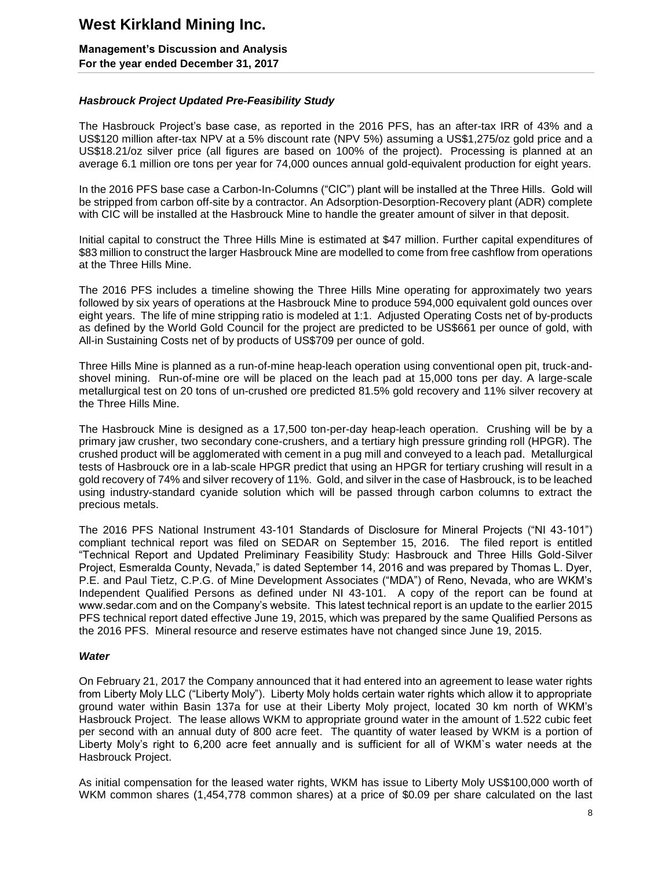**Management's Discussion and Analysis For the year ended December 31, 2017**

### *Hasbrouck Project Updated Pre-Feasibility Study*

The Hasbrouck Project's base case, as reported in the 2016 PFS, has an after-tax IRR of 43% and a US\$120 million after-tax NPV at a 5% discount rate (NPV 5%) assuming a US\$1,275/oz gold price and a US\$18.21/oz silver price (all figures are based on 100% of the project). Processing is planned at an average 6.1 million ore tons per year for 74,000 ounces annual gold-equivalent production for eight years.

In the 2016 PFS base case a Carbon-In-Columns ("CIC") plant will be installed at the Three Hills. Gold will be stripped from carbon off-site by a contractor. An Adsorption-Desorption-Recovery plant (ADR) complete with CIC will be installed at the Hasbrouck Mine to handle the greater amount of silver in that deposit.

Initial capital to construct the Three Hills Mine is estimated at \$47 million. Further capital expenditures of \$83 million to construct the larger Hasbrouck Mine are modelled to come from free cashflow from operations at the Three Hills Mine.

The 2016 PFS includes a timeline showing the Three Hills Mine operating for approximately two years followed by six years of operations at the Hasbrouck Mine to produce 594,000 equivalent gold ounces over eight years. The life of mine stripping ratio is modeled at 1:1. Adjusted Operating Costs net of by-products as defined by the World Gold Council for the project are predicted to be US\$661 per ounce of gold, with All-in Sustaining Costs net of by products of US\$709 per ounce of gold.

Three Hills Mine is planned as a run-of-mine heap-leach operation using conventional open pit, truck-andshovel mining. Run-of-mine ore will be placed on the leach pad at 15,000 tons per day. A large-scale metallurgical test on 20 tons of un-crushed ore predicted 81.5% gold recovery and 11% silver recovery at the Three Hills Mine.

The Hasbrouck Mine is designed as a 17,500 ton-per-day heap-leach operation. Crushing will be by a primary jaw crusher, two secondary cone-crushers, and a tertiary high pressure grinding roll (HPGR). The crushed product will be agglomerated with cement in a pug mill and conveyed to a leach pad. Metallurgical tests of Hasbrouck ore in a lab-scale HPGR predict that using an HPGR for tertiary crushing will result in a gold recovery of 74% and silver recovery of 11%. Gold, and silver in the case of Hasbrouck, is to be leached using industry-standard cyanide solution which will be passed through carbon columns to extract the precious metals.

The 2016 PFS National Instrument 43-101 Standards of Disclosure for Mineral Projects ("NI 43-101") compliant technical report was filed on SEDAR on September 15, 2016. The filed report is entitled "Technical Report and Updated Preliminary Feasibility Study: Hasbrouck and Three Hills Gold-Silver Project, Esmeralda County, Nevada," is dated September 14, 2016 and was prepared by Thomas L. Dyer, P.E. and Paul Tietz, C.P.G. of Mine Development Associates ("MDA") of Reno, Nevada, who are WKM's Independent Qualified Persons as defined under NI 43-101. A copy of the report can be found at www.sedar.com and on the Company's website. This latest technical report is an update to the earlier 2015 PFS technical report dated effective June 19, 2015, which was prepared by the same Qualified Persons as the 2016 PFS. Mineral resource and reserve estimates have not changed since June 19, 2015.

### *Water*

On February 21, 2017 the Company announced that it had entered into an agreement to lease water rights from Liberty Moly LLC ("Liberty Moly"). Liberty Moly holds certain water rights which allow it to appropriate ground water within Basin 137a for use at their Liberty Moly project, located 30 km north of WKM's Hasbrouck Project. The lease allows WKM to appropriate ground water in the amount of 1.522 cubic feet per second with an annual duty of 800 acre feet. The quantity of water leased by WKM is a portion of Liberty Moly's right to 6,200 acre feet annually and is sufficient for all of WKM`s water needs at the Hasbrouck Project.

As initial compensation for the leased water rights, WKM has issue to Liberty Moly US\$100,000 worth of WKM common shares (1,454,778 common shares) at a price of \$0.09 per share calculated on the last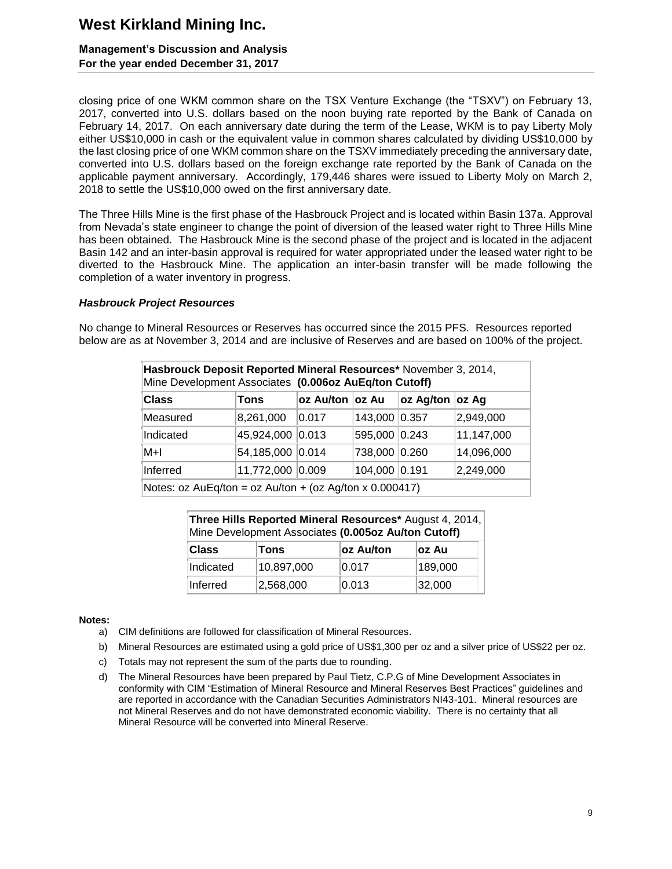### **Management's Discussion and Analysis For the year ended December 31, 2017**

closing price of one WKM common share on the TSX Venture Exchange (the "TSXV") on February 13, 2017, converted into U.S. dollars based on the noon buying rate reported by the Bank of Canada on February 14, 2017. On each anniversary date during the term of the Lease, WKM is to pay Liberty Moly either US\$10,000 in cash or the equivalent value in common shares calculated by dividing US\$10,000 by the last closing price of one WKM common share on the TSXV immediately preceding the anniversary date, converted into U.S. dollars based on the foreign exchange rate reported by the Bank of Canada on the applicable payment anniversary. Accordingly, 179,446 shares were issued to Liberty Moly on March 2, 2018 to settle the US\$10,000 owed on the first anniversary date.

The Three Hills Mine is the first phase of the Hasbrouck Project and is located within Basin 137a. Approval from Nevada's state engineer to change the point of diversion of the leased water right to Three Hills Mine has been obtained. The Hasbrouck Mine is the second phase of the project and is located in the adjacent Basin 142 and an inter-basin approval is required for water appropriated under the leased water right to be diverted to the Hasbrouck Mine. The application an inter-basin transfer will be made following the completion of a water inventory in progress.

#### *Hasbrouck Project Resources*

No change to Mineral Resources or Reserves has occurred since the 2015 PFS. Resources reported below are as at November 3, 2014 and are inclusive of Reserves and are based on 100% of the project.

| Hasbrouck Deposit Reported Mineral Resources* November 3, 2014,<br>Mine Development Associates (0.006oz AuEq/ton Cutoff) |                  |                 |               |                 |            |  |
|--------------------------------------------------------------------------------------------------------------------------|------------------|-----------------|---------------|-----------------|------------|--|
| <b>Class</b>                                                                                                             | Tons             | oz Au/ton oz Au |               | oz Ag/ton oz Ag |            |  |
| Measured                                                                                                                 | 8,261,000        | 0.017           | 143,000 0.357 |                 | 2,949,000  |  |
| Indicated                                                                                                                | 45,924,000 0.013 |                 | 595,000 0.243 |                 | 11,147,000 |  |
| M+l                                                                                                                      | 54,185,000 0.014 |                 | 738,000 0.260 |                 | 14,096,000 |  |
| Inferred                                                                                                                 | 11,772,000 0.009 |                 | 104,000 0.191 |                 | 2,249,000  |  |
| Notes: $oz \text{ AuEq/ton} = oz \text{ Au/ton} + (oz \text{ Ag/ton} \times 0.000417)$                                   |                  |                 |               |                 |            |  |

| Three Hills Reported Mineral Resources* August 4, 2014,<br>Mine Development Associates (0.005oz Au/ton Cutoff) |            |           |         |  |  |  |  |  |
|----------------------------------------------------------------------------------------------------------------|------------|-----------|---------|--|--|--|--|--|
| <b>Class</b>                                                                                                   | Tons       | oz Au/ton | ∣oz Au  |  |  |  |  |  |
| Indicated                                                                                                      | 10,897,000 | 0.017     | 189,000 |  |  |  |  |  |
| Inferred                                                                                                       | 2,568,000  | 0.013     | 32,000  |  |  |  |  |  |

#### **Notes:**

- a) CIM definitions are followed for classification of Mineral Resources.
- b) Mineral Resources are estimated using a gold price of US\$1,300 per oz and a silver price of US\$22 per oz.
- c) Totals may not represent the sum of the parts due to rounding.
- d) The Mineral Resources have been prepared by Paul Tietz, C.P.G of Mine Development Associates in conformity with CIM "Estimation of Mineral Resource and Mineral Reserves Best Practices" guidelines and are reported in accordance with the Canadian Securities Administrators NI43-101. Mineral resources are not Mineral Reserves and do not have demonstrated economic viability. There is no certainty that all Mineral Resource will be converted into Mineral Reserve.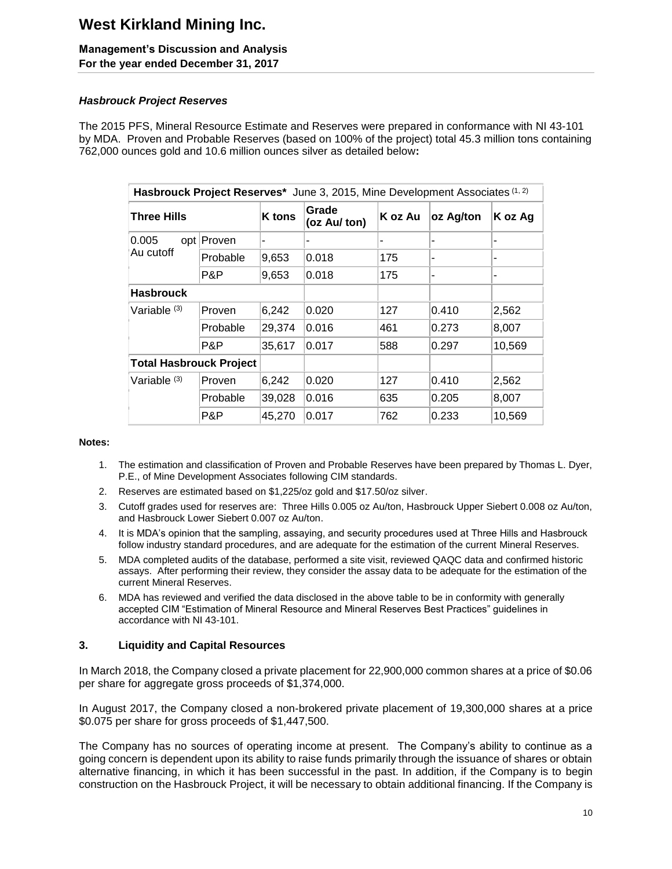# **Management's Discussion and Analysis**

**For the year ended December 31, 2017**

### *Hasbrouck Project Reserves*

The 2015 PFS, Mineral Resource Estimate and Reserves were prepared in conformance with NI 43-101 by MDA. Proven and Probable Reserves (based on 100% of the project) total 45.3 million tons containing 762,000 ounces gold and 10.6 million ounces silver as detailed below**:**

| Hasbrouck Project Reserves* June 3, 2015, Mine Development Associates (1, 2) |          |               |                       |         |           |         |  |  |  |
|------------------------------------------------------------------------------|----------|---------------|-----------------------|---------|-----------|---------|--|--|--|
| <b>Three Hills</b>                                                           |          | <b>K</b> tons | Grade<br>(oz Au/ ton) | K oz Au | oz Ag/ton | K oz Ag |  |  |  |
| 0.005<br>opt  <br>Au cutoff                                                  | Proven   | ۰             |                       |         |           |         |  |  |  |
|                                                                              | Probable | 9,653         | 0.018                 | 175     |           |         |  |  |  |
|                                                                              | P&P      | 9,653         | 0.018                 | 175     |           |         |  |  |  |
| <b>Hasbrouck</b>                                                             |          |               |                       |         |           |         |  |  |  |
| Variable <sup>(3)</sup>                                                      | Proven   | 6,242         | 0.020                 | 127     | 0.410     | 2,562   |  |  |  |
|                                                                              | Probable | 29,374        | 0.016                 | 461     | 0.273     | 8,007   |  |  |  |
|                                                                              | P&P      | 35,617        | 0.017                 | 588     | 0.297     | 10,569  |  |  |  |
| <b>Total Hasbrouck Project</b>                                               |          |               |                       |         |           |         |  |  |  |
| Variable <sup>(3)</sup>                                                      | Proven   | 6,242         | 0.020                 | 127     | 0.410     | 2,562   |  |  |  |
|                                                                              | Probable | 39,028        | 0.016                 | 635     | 0.205     | 8,007   |  |  |  |
|                                                                              | P&P      | 45,270        | 0.017                 | 762     | 0.233     | 10,569  |  |  |  |

### **Notes:**

- 1. The estimation and classification of Proven and Probable Reserves have been prepared by Thomas L. Dyer, P.E., of Mine Development Associates following CIM standards.
- 2. Reserves are estimated based on \$1,225/oz gold and \$17.50/oz silver.
- 3. Cutoff grades used for reserves are: Three Hills 0.005 oz Au/ton, Hasbrouck Upper Siebert 0.008 oz Au/ton, and Hasbrouck Lower Siebert 0.007 oz Au/ton.
- 4. It is MDA's opinion that the sampling, assaying, and security procedures used at Three Hills and Hasbrouck follow industry standard procedures, and are adequate for the estimation of the current Mineral Reserves.
- 5. MDA completed audits of the database, performed a site visit, reviewed QAQC data and confirmed historic assays. After performing their review, they consider the assay data to be adequate for the estimation of the current Mineral Reserves.
- 6. MDA has reviewed and verified the data disclosed in the above table to be in conformity with generally accepted CIM "Estimation of Mineral Resource and Mineral Reserves Best Practices" guidelines in accordance with NI 43-101.

### **3. Liquidity and Capital Resources**

In March 2018, the Company closed a private placement for 22,900,000 common shares at a price of \$0.06 per share for aggregate gross proceeds of \$1,374,000.

In August 2017, the Company closed a non-brokered private placement of 19,300,000 shares at a price \$0.075 per share for gross proceeds of \$1,447,500.

The Company has no sources of operating income at present. The Company's ability to continue as a going concern is dependent upon its ability to raise funds primarily through the issuance of shares or obtain alternative financing, in which it has been successful in the past. In addition, if the Company is to begin construction on the Hasbrouck Project, it will be necessary to obtain additional financing. If the Company is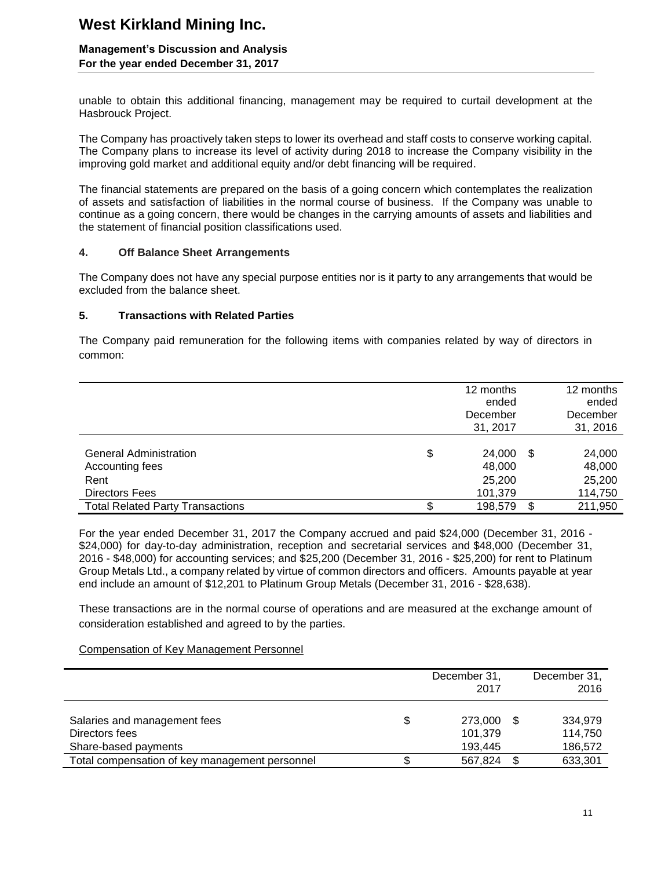### **Management's Discussion and Analysis For the year ended December 31, 2017**

unable to obtain this additional financing, management may be required to curtail development at the Hasbrouck Project.

The Company has proactively taken steps to lower its overhead and staff costs to conserve working capital. The Company plans to increase its level of activity during 2018 to increase the Company visibility in the improving gold market and additional equity and/or debt financing will be required.

The financial statements are prepared on the basis of a going concern which contemplates the realization of assets and satisfaction of liabilities in the normal course of business. If the Company was unable to continue as a going concern, there would be changes in the carrying amounts of assets and liabilities and the statement of financial position classifications used.

### **4. Off Balance Sheet Arrangements**

The Company does not have any special purpose entities nor is it party to any arrangements that would be excluded from the balance sheet.

### **5. Transactions with Related Parties**

The Company paid remuneration for the following items with companies related by way of directors in common:

|                                         |    | 12 months         |    | 12 months         |
|-----------------------------------------|----|-------------------|----|-------------------|
|                                         |    | ended<br>December |    | ended<br>December |
|                                         |    | 31, 2017          |    | 31, 2016          |
|                                         |    |                   |    |                   |
| <b>General Administration</b>           | \$ | 24,000            | \$ | 24,000            |
| Accounting fees                         |    | 48,000            |    | 48,000            |
| Rent                                    |    | 25,200            |    | 25,200            |
| Directors Fees                          |    | 101,379           |    | 114,750           |
| <b>Total Related Party Transactions</b> | S. | 198,579           | S  | 211,950           |

For the year ended December 31, 2017 the Company accrued and paid \$24,000 (December 31, 2016 - \$24,000) for day-to-day administration, reception and secretarial services and \$48,000 (December 31, 2016 - \$48,000) for accounting services; and \$25,200 (December 31, 2016 - \$25,200) for rent to Platinum Group Metals Ltd., a company related by virtue of common directors and officers. Amounts payable at year end include an amount of \$12,201 to Platinum Group Metals (December 31, 2016 - \$28,638).

These transactions are in the normal course of operations and are measured at the exchange amount of consideration established and agreed to by the parties.

### Compensation of Key Management Personnel

|                                                                        | December 31,<br>2017          | December 31,<br>2016          |
|------------------------------------------------------------------------|-------------------------------|-------------------------------|
| Salaries and management fees<br>Directors fees<br>Share-based payments | 273,000<br>101,379<br>193,445 | 334.979<br>114,750<br>186,572 |
| Total compensation of key management personnel                         | 567,824                       | 633,301                       |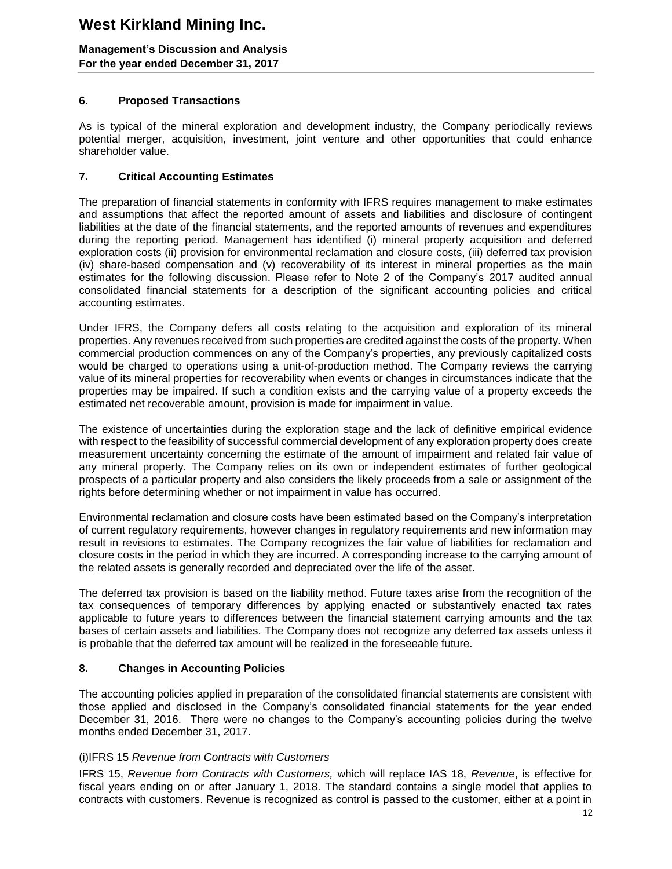### **Management's Discussion and Analysis For the year ended December 31, 2017**

### **6. Proposed Transactions**

As is typical of the mineral exploration and development industry, the Company periodically reviews potential merger, acquisition, investment, joint venture and other opportunities that could enhance shareholder value.

### **7. Critical Accounting Estimates**

The preparation of financial statements in conformity with IFRS requires management to make estimates and assumptions that affect the reported amount of assets and liabilities and disclosure of contingent liabilities at the date of the financial statements, and the reported amounts of revenues and expenditures during the reporting period. Management has identified (i) mineral property acquisition and deferred exploration costs (ii) provision for environmental reclamation and closure costs, (iii) deferred tax provision (iv) share-based compensation and (v) recoverability of its interest in mineral properties as the main estimates for the following discussion. Please refer to Note 2 of the Company's 2017 audited annual consolidated financial statements for a description of the significant accounting policies and critical accounting estimates.

Under IFRS, the Company defers all costs relating to the acquisition and exploration of its mineral properties. Any revenues received from such properties are credited against the costs of the property. When commercial production commences on any of the Company's properties, any previously capitalized costs would be charged to operations using a unit-of-production method. The Company reviews the carrying value of its mineral properties for recoverability when events or changes in circumstances indicate that the properties may be impaired. If such a condition exists and the carrying value of a property exceeds the estimated net recoverable amount, provision is made for impairment in value.

The existence of uncertainties during the exploration stage and the lack of definitive empirical evidence with respect to the feasibility of successful commercial development of any exploration property does create measurement uncertainty concerning the estimate of the amount of impairment and related fair value of any mineral property. The Company relies on its own or independent estimates of further geological prospects of a particular property and also considers the likely proceeds from a sale or assignment of the rights before determining whether or not impairment in value has occurred.

Environmental reclamation and closure costs have been estimated based on the Company's interpretation of current regulatory requirements, however changes in regulatory requirements and new information may result in revisions to estimates. The Company recognizes the fair value of liabilities for reclamation and closure costs in the period in which they are incurred. A corresponding increase to the carrying amount of the related assets is generally recorded and depreciated over the life of the asset.

The deferred tax provision is based on the liability method. Future taxes arise from the recognition of the tax consequences of temporary differences by applying enacted or substantively enacted tax rates applicable to future years to differences between the financial statement carrying amounts and the tax bases of certain assets and liabilities. The Company does not recognize any deferred tax assets unless it is probable that the deferred tax amount will be realized in the foreseeable future.

### **8. Changes in Accounting Policies**

The accounting policies applied in preparation of the consolidated financial statements are consistent with those applied and disclosed in the Company's consolidated financial statements for the year ended December 31, 2016. There were no changes to the Company's accounting policies during the twelve months ended December 31, 2017.

### (i)IFRS 15 *Revenue from Contracts with Customers*

IFRS 15, *Revenue from Contracts with Customers,* which will replace IAS 18, *Revenue*, is effective for fiscal years ending on or after January 1, 2018. The standard contains a single model that applies to contracts with customers. Revenue is recognized as control is passed to the customer, either at a point in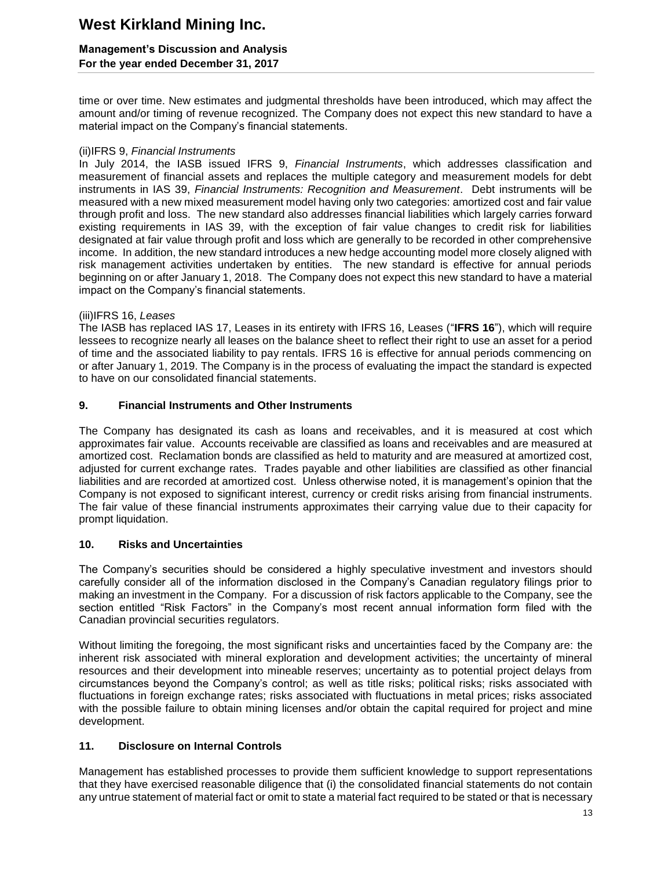### **Management's Discussion and Analysis For the year ended December 31, 2017**

time or over time. New estimates and judgmental thresholds have been introduced, which may affect the amount and/or timing of revenue recognized. The Company does not expect this new standard to have a material impact on the Company's financial statements.

### (ii)IFRS 9, *Financial Instruments*

In July 2014, the IASB issued IFRS 9, *Financial Instruments*, which addresses classification and measurement of financial assets and replaces the multiple category and measurement models for debt instruments in IAS 39, *Financial Instruments: Recognition and Measurement*. Debt instruments will be measured with a new mixed measurement model having only two categories: amortized cost and fair value through profit and loss. The new standard also addresses financial liabilities which largely carries forward existing requirements in IAS 39, with the exception of fair value changes to credit risk for liabilities designated at fair value through profit and loss which are generally to be recorded in other comprehensive income. In addition, the new standard introduces a new hedge accounting model more closely aligned with risk management activities undertaken by entities. The new standard is effective for annual periods beginning on or after January 1, 2018. The Company does not expect this new standard to have a material impact on the Company's financial statements.

### (iii)IFRS 16, *Leases*

The IASB has replaced IAS 17, Leases in its entirety with IFRS 16, Leases ("**IFRS 16**"), which will require lessees to recognize nearly all leases on the balance sheet to reflect their right to use an asset for a period of time and the associated liability to pay rentals. IFRS 16 is effective for annual periods commencing on or after January 1, 2019. The Company is in the process of evaluating the impact the standard is expected to have on our consolidated financial statements.

### **9. Financial Instruments and Other Instruments**

The Company has designated its cash as loans and receivables, and it is measured at cost which approximates fair value. Accounts receivable are classified as loans and receivables and are measured at amortized cost. Reclamation bonds are classified as held to maturity and are measured at amortized cost, adjusted for current exchange rates. Trades payable and other liabilities are classified as other financial liabilities and are recorded at amortized cost. Unless otherwise noted, it is management's opinion that the Company is not exposed to significant interest, currency or credit risks arising from financial instruments. The fair value of these financial instruments approximates their carrying value due to their capacity for prompt liquidation.

### **10. Risks and Uncertainties**

The Company's securities should be considered a highly speculative investment and investors should carefully consider all of the information disclosed in the Company's Canadian regulatory filings prior to making an investment in the Company. For a discussion of risk factors applicable to the Company, see the section entitled "Risk Factors" in the Company's most recent annual information form filed with the Canadian provincial securities regulators.

Without limiting the foregoing, the most significant risks and uncertainties faced by the Company are: the inherent risk associated with mineral exploration and development activities; the uncertainty of mineral resources and their development into mineable reserves; uncertainty as to potential project delays from circumstances beyond the Company's control; as well as title risks; political risks; risks associated with fluctuations in foreign exchange rates; risks associated with fluctuations in metal prices; risks associated with the possible failure to obtain mining licenses and/or obtain the capital required for project and mine development.

### **11. Disclosure on Internal Controls**

Management has established processes to provide them sufficient knowledge to support representations that they have exercised reasonable diligence that (i) the consolidated financial statements do not contain any untrue statement of material fact or omit to state a material fact required to be stated or that is necessary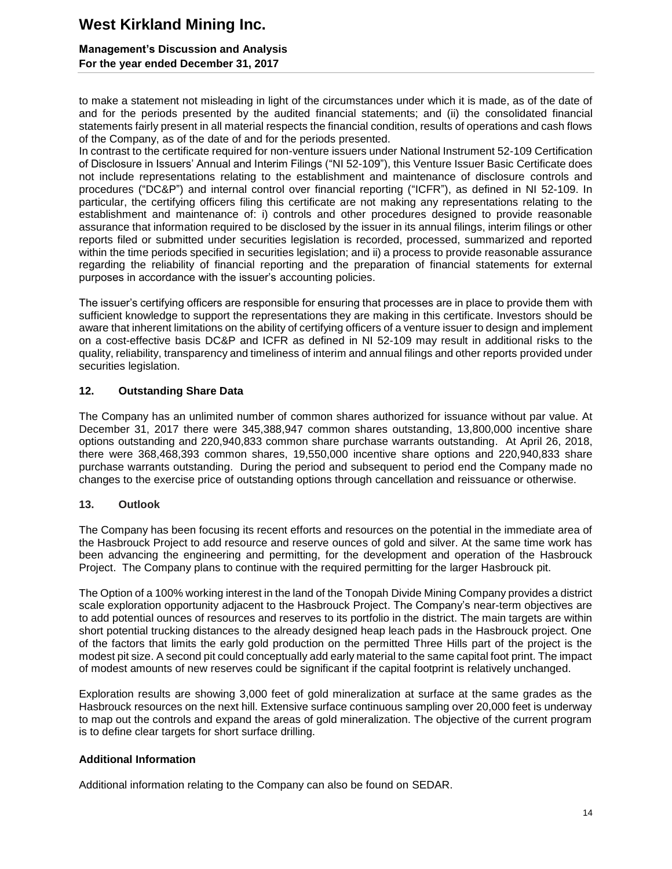### **Management's Discussion and Analysis For the year ended December 31, 2017**

to make a statement not misleading in light of the circumstances under which it is made, as of the date of and for the periods presented by the audited financial statements; and (ii) the consolidated financial statements fairly present in all material respects the financial condition, results of operations and cash flows of the Company, as of the date of and for the periods presented.

In contrast to the certificate required for non-venture issuers under National Instrument 52-109 Certification of Disclosure in Issuers' Annual and Interim Filings ("NI 52-109"), this Venture Issuer Basic Certificate does not include representations relating to the establishment and maintenance of disclosure controls and procedures ("DC&P") and internal control over financial reporting ("ICFR"), as defined in NI 52-109. In particular, the certifying officers filing this certificate are not making any representations relating to the establishment and maintenance of: i) controls and other procedures designed to provide reasonable assurance that information required to be disclosed by the issuer in its annual filings, interim filings or other reports filed or submitted under securities legislation is recorded, processed, summarized and reported within the time periods specified in securities legislation; and ii) a process to provide reasonable assurance regarding the reliability of financial reporting and the preparation of financial statements for external purposes in accordance with the issuer's accounting policies.

The issuer's certifying officers are responsible for ensuring that processes are in place to provide them with sufficient knowledge to support the representations they are making in this certificate. Investors should be aware that inherent limitations on the ability of certifying officers of a venture issuer to design and implement on a cost-effective basis DC&P and ICFR as defined in NI 52-109 may result in additional risks to the quality, reliability, transparency and timeliness of interim and annual filings and other reports provided under securities legislation.

### **12. Outstanding Share Data**

The Company has an unlimited number of common shares authorized for issuance without par value. At December 31, 2017 there were 345,388,947 common shares outstanding, 13,800,000 incentive share options outstanding and 220,940,833 common share purchase warrants outstanding. At April 26, 2018, there were 368,468,393 common shares, 19,550,000 incentive share options and 220,940,833 share purchase warrants outstanding. During the period and subsequent to period end the Company made no changes to the exercise price of outstanding options through cancellation and reissuance or otherwise.

### **13. Outlook**

The Company has been focusing its recent efforts and resources on the potential in the immediate area of the Hasbrouck Project to add resource and reserve ounces of gold and silver. At the same time work has been advancing the engineering and permitting, for the development and operation of the Hasbrouck Project. The Company plans to continue with the required permitting for the larger Hasbrouck pit.

The Option of a 100% working interest in the land of the Tonopah Divide Mining Company provides a district scale exploration opportunity adjacent to the Hasbrouck Project. The Company's near-term objectives are to add potential ounces of resources and reserves to its portfolio in the district. The main targets are within short potential trucking distances to the already designed heap leach pads in the Hasbrouck project. One of the factors that limits the early gold production on the permitted Three Hills part of the project is the modest pit size. A second pit could conceptually add early material to the same capital foot print. The impact of modest amounts of new reserves could be significant if the capital footprint is relatively unchanged.

Exploration results are showing 3,000 feet of gold mineralization at surface at the same grades as the Hasbrouck resources on the next hill. Extensive surface continuous sampling over 20,000 feet is underway to map out the controls and expand the areas of gold mineralization. The objective of the current program is to define clear targets for short surface drilling.

### **Additional Information**

Additional information relating to the Company can also be found on SEDAR.